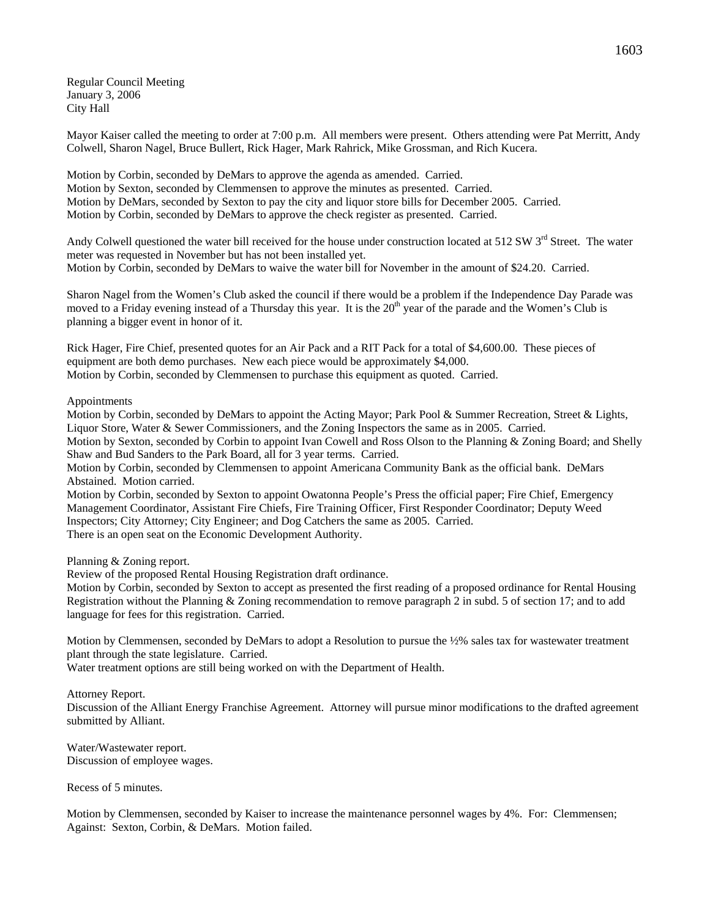Regular Council Meeting January 3, 2006 City Hall

Mayor Kaiser called the meeting to order at 7:00 p.m. All members were present. Others attending were Pat Merritt, Andy Colwell, Sharon Nagel, Bruce Bullert, Rick Hager, Mark Rahrick, Mike Grossman, and Rich Kucera.

Motion by Corbin, seconded by DeMars to approve the agenda as amended. Carried. Motion by Sexton, seconded by Clemmensen to approve the minutes as presented. Carried. Motion by DeMars, seconded by Sexton to pay the city and liquor store bills for December 2005. Carried. Motion by Corbin, seconded by DeMars to approve the check register as presented. Carried.

Andy Colwell questioned the water bill received for the house under construction located at  $512 \text{ SW } 3^{\text{rd}}$  Street. The water meter was requested in November but has not been installed yet. Motion by Corbin, seconded by DeMars to waive the water bill for November in the amount of \$24.20. Carried.

Sharon Nagel from the Women's Club asked the council if there would be a problem if the Independence Day Parade was moved to a Friday evening instead of a Thursday this year. It is the 20<sup>th</sup> year of the parade and the Women's Club is planning a bigger event in honor of it.

Rick Hager, Fire Chief, presented quotes for an Air Pack and a RIT Pack for a total of \$4,600.00. These pieces of equipment are both demo purchases. New each piece would be approximately \$4,000. Motion by Corbin, seconded by Clemmensen to purchase this equipment as quoted. Carried.

Appointments

Motion by Corbin, seconded by DeMars to appoint the Acting Mayor; Park Pool & Summer Recreation, Street & Lights, Liquor Store, Water & Sewer Commissioners, and the Zoning Inspectors the same as in 2005. Carried. Motion by Sexton, seconded by Corbin to appoint Ivan Cowell and Ross Olson to the Planning & Zoning Board; and Shelly Shaw and Bud Sanders to the Park Board, all for 3 year terms. Carried.

Motion by Corbin, seconded by Clemmensen to appoint Americana Community Bank as the official bank. DeMars Abstained. Motion carried.

Motion by Corbin, seconded by Sexton to appoint Owatonna People's Press the official paper; Fire Chief, Emergency Management Coordinator, Assistant Fire Chiefs, Fire Training Officer, First Responder Coordinator; Deputy Weed Inspectors; City Attorney; City Engineer; and Dog Catchers the same as 2005. Carried. There is an open seat on the Economic Development Authority.

Planning & Zoning report.

Review of the proposed Rental Housing Registration draft ordinance.

Motion by Corbin, seconded by Sexton to accept as presented the first reading of a proposed ordinance for Rental Housing Registration without the Planning & Zoning recommendation to remove paragraph 2 in subd. 5 of section 17; and to add language for fees for this registration. Carried.

Motion by Clemmensen, seconded by DeMars to adopt a Resolution to pursue the ½% sales tax for wastewater treatment plant through the state legislature. Carried.

Water treatment options are still being worked on with the Department of Health.

Attorney Report.

Discussion of the Alliant Energy Franchise Agreement. Attorney will pursue minor modifications to the drafted agreement submitted by Alliant.

Water/Wastewater report. Discussion of employee wages.

Recess of 5 minutes.

Motion by Clemmensen, seconded by Kaiser to increase the maintenance personnel wages by 4%. For: Clemmensen; Against: Sexton, Corbin, & DeMars. Motion failed.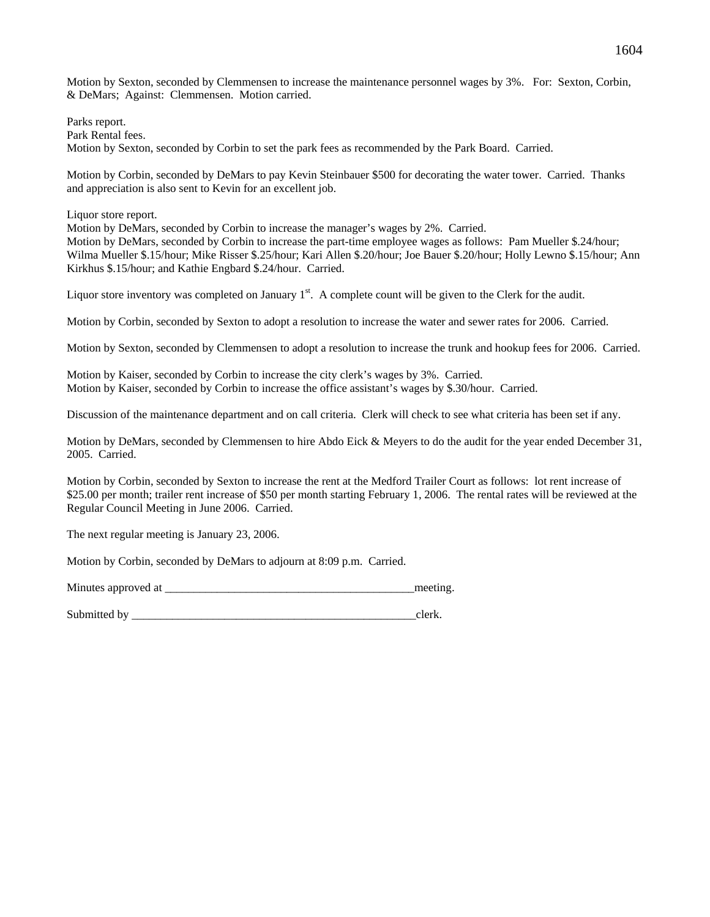Motion by Sexton, seconded by Clemmensen to increase the maintenance personnel wages by 3%. For: Sexton, Corbin, & DeMars; Against: Clemmensen. Motion carried.

Parks report. Park Rental fees.

Motion by Sexton, seconded by Corbin to set the park fees as recommended by the Park Board. Carried.

Motion by Corbin, seconded by DeMars to pay Kevin Steinbauer \$500 for decorating the water tower. Carried. Thanks and appreciation is also sent to Kevin for an excellent job.

Liquor store report.

Motion by DeMars, seconded by Corbin to increase the manager's wages by 2%. Carried. Motion by DeMars, seconded by Corbin to increase the part-time employee wages as follows: Pam Mueller \$.24/hour; Wilma Mueller \$.15/hour; Mike Risser \$.25/hour; Kari Allen \$.20/hour; Joe Bauer \$.20/hour; Holly Lewno \$.15/hour; Ann Kirkhus \$.15/hour; and Kathie Engbard \$.24/hour. Carried.

Liquor store inventory was completed on January  $1<sup>st</sup>$ . A complete count will be given to the Clerk for the audit.

Motion by Corbin, seconded by Sexton to adopt a resolution to increase the water and sewer rates for 2006. Carried.

Motion by Sexton, seconded by Clemmensen to adopt a resolution to increase the trunk and hookup fees for 2006. Carried.

Motion by Kaiser, seconded by Corbin to increase the city clerk's wages by 3%. Carried. Motion by Kaiser, seconded by Corbin to increase the office assistant's wages by \$.30/hour. Carried.

Discussion of the maintenance department and on call criteria. Clerk will check to see what criteria has been set if any.

Motion by DeMars, seconded by Clemmensen to hire Abdo Eick & Meyers to do the audit for the year ended December 31, 2005. Carried.

Motion by Corbin, seconded by Sexton to increase the rent at the Medford Trailer Court as follows: lot rent increase of \$25.00 per month; trailer rent increase of \$50 per month starting February 1, 2006. The rental rates will be reviewed at the Regular Council Meeting in June 2006. Carried.

The next regular meeting is January 23, 2006.

Motion by Corbin, seconded by DeMars to adjourn at 8:09 p.m. Carried.

Minutes approved at the setting and the setting meeting.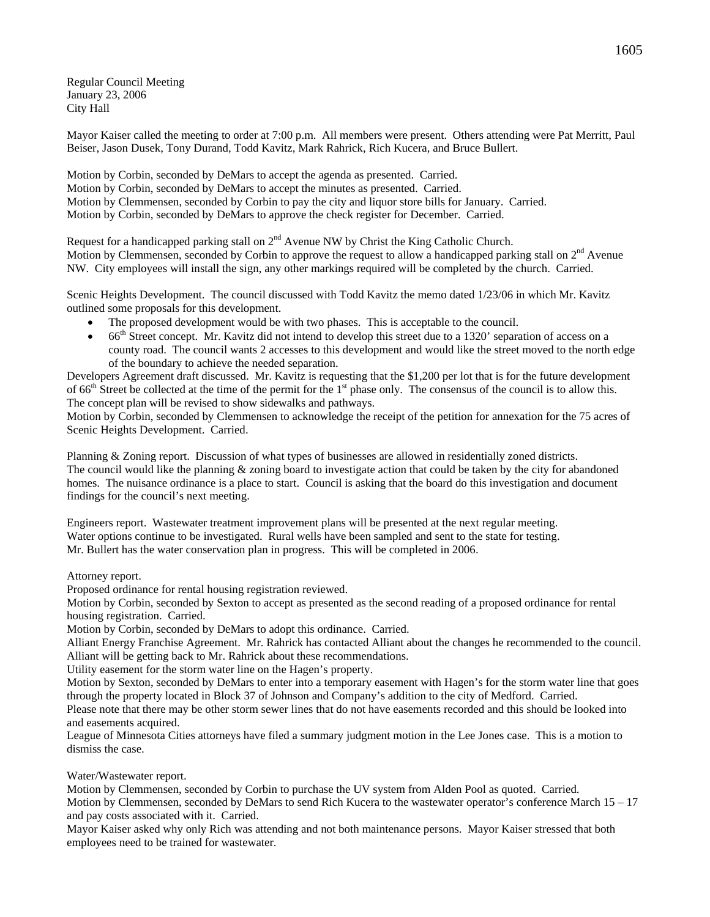Regular Council Meeting January 23, 2006 City Hall

Mayor Kaiser called the meeting to order at 7:00 p.m. All members were present. Others attending were Pat Merritt, Paul Beiser, Jason Dusek, Tony Durand, Todd Kavitz, Mark Rahrick, Rich Kucera, and Bruce Bullert.

Motion by Corbin, seconded by DeMars to accept the agenda as presented. Carried. Motion by Corbin, seconded by DeMars to accept the minutes as presented. Carried. Motion by Clemmensen, seconded by Corbin to pay the city and liquor store bills for January. Carried. Motion by Corbin, seconded by DeMars to approve the check register for December. Carried.

Request for a handicapped parking stall on  $2<sup>nd</sup>$  Avenue NW by Christ the King Catholic Church. Motion by Clemmensen, seconded by Corbin to approve the request to allow a handicapped parking stall on 2<sup>nd</sup> Avenue NW. City employees will install the sign, any other markings required will be completed by the church. Carried.

Scenic Heights Development. The council discussed with Todd Kavitz the memo dated 1/23/06 in which Mr. Kavitz outlined some proposals for this development.

- The proposed development would be with two phases. This is acceptable to the council.
- $\bullet$  66<sup>th</sup> Street concept. Mr. Kavitz did not intend to develop this street due to a 1320' separation of access on a county road. The council wants 2 accesses to this development and would like the street moved to the north edge of the boundary to achieve the needed separation.

Developers Agreement draft discussed. Mr. Kavitz is requesting that the \$1,200 per lot that is for the future development of 66<sup>th</sup> Street be collected at the time of the permit for the 1<sup>st</sup> phase only. The consensus of the council is to allow this. The concept plan will be revised to show sidewalks and pathways.

Motion by Corbin, seconded by Clemmensen to acknowledge the receipt of the petition for annexation for the 75 acres of Scenic Heights Development. Carried.

Planning & Zoning report. Discussion of what types of businesses are allowed in residentially zoned districts. The council would like the planning  $\&$  zoning board to investigate action that could be taken by the city for abandoned homes. The nuisance ordinance is a place to start. Council is asking that the board do this investigation and document findings for the council's next meeting.

Engineers report. Wastewater treatment improvement plans will be presented at the next regular meeting. Water options continue to be investigated. Rural wells have been sampled and sent to the state for testing. Mr. Bullert has the water conservation plan in progress. This will be completed in 2006.

Attorney report.

Proposed ordinance for rental housing registration reviewed.

Motion by Corbin, seconded by Sexton to accept as presented as the second reading of a proposed ordinance for rental housing registration. Carried.

Motion by Corbin, seconded by DeMars to adopt this ordinance. Carried.

Alliant Energy Franchise Agreement. Mr. Rahrick has contacted Alliant about the changes he recommended to the council. Alliant will be getting back to Mr. Rahrick about these recommendations.

Utility easement for the storm water line on the Hagen's property.

Motion by Sexton, seconded by DeMars to enter into a temporary easement with Hagen's for the storm water line that goes through the property located in Block 37 of Johnson and Company's addition to the city of Medford. Carried.

Please note that there may be other storm sewer lines that do not have easements recorded and this should be looked into and easements acquired.

League of Minnesota Cities attorneys have filed a summary judgment motion in the Lee Jones case. This is a motion to dismiss the case.

Water/Wastewater report.

Motion by Clemmensen, seconded by Corbin to purchase the UV system from Alden Pool as quoted. Carried. Motion by Clemmensen, seconded by DeMars to send Rich Kucera to the wastewater operator's conference March 15 – 17 and pay costs associated with it. Carried.

Mayor Kaiser asked why only Rich was attending and not both maintenance persons. Mayor Kaiser stressed that both employees need to be trained for wastewater.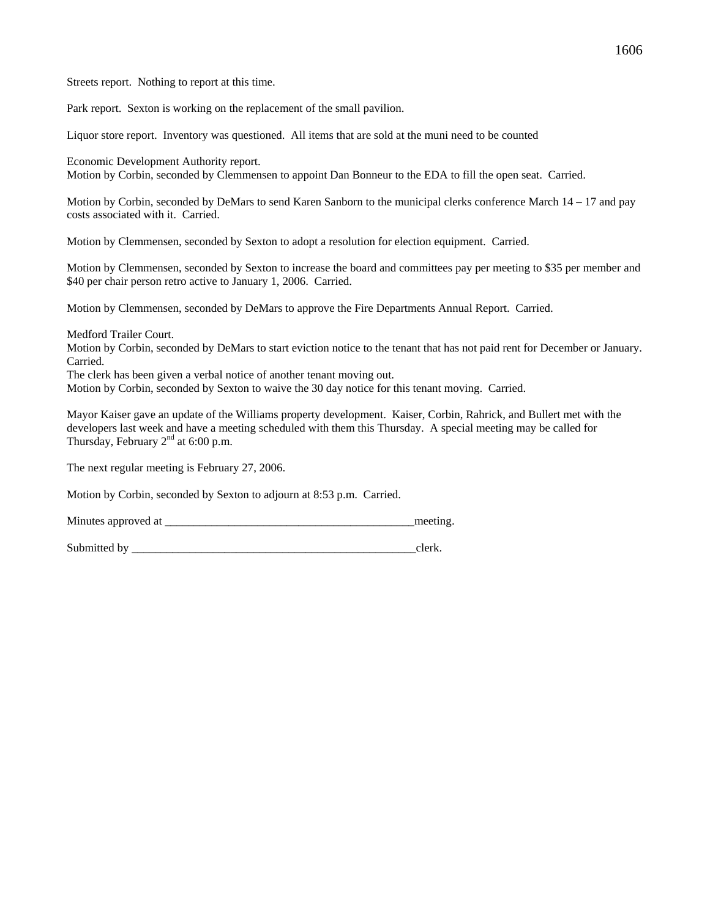Streets report. Nothing to report at this time.

Park report. Sexton is working on the replacement of the small pavilion.

Liquor store report. Inventory was questioned. All items that are sold at the muni need to be counted

Economic Development Authority report.

Motion by Corbin, seconded by Clemmensen to appoint Dan Bonneur to the EDA to fill the open seat. Carried.

Motion by Corbin, seconded by DeMars to send Karen Sanborn to the municipal clerks conference March 14 – 17 and pay costs associated with it. Carried.

Motion by Clemmensen, seconded by Sexton to adopt a resolution for election equipment. Carried.

Motion by Clemmensen, seconded by Sexton to increase the board and committees pay per meeting to \$35 per member and \$40 per chair person retro active to January 1, 2006. Carried.

Motion by Clemmensen, seconded by DeMars to approve the Fire Departments Annual Report. Carried.

Medford Trailer Court.

Motion by Corbin, seconded by DeMars to start eviction notice to the tenant that has not paid rent for December or January. Carried.

The clerk has been given a verbal notice of another tenant moving out.

Motion by Corbin, seconded by Sexton to waive the 30 day notice for this tenant moving. Carried.

Mayor Kaiser gave an update of the Williams property development. Kaiser, Corbin, Rahrick, and Bullert met with the developers last week and have a meeting scheduled with them this Thursday. A special meeting may be called for Thursday, February  $2<sup>nd</sup>$  at 6:00 p.m.

The next regular meeting is February 27, 2006.

Motion by Corbin, seconded by Sexton to adjourn at 8:53 p.m. Carried.

Minutes approved at \_\_\_\_\_\_\_\_\_\_\_\_\_\_\_\_\_\_\_\_\_\_\_\_\_\_\_\_\_\_\_\_\_\_\_\_\_\_\_\_\_\_\_meeting.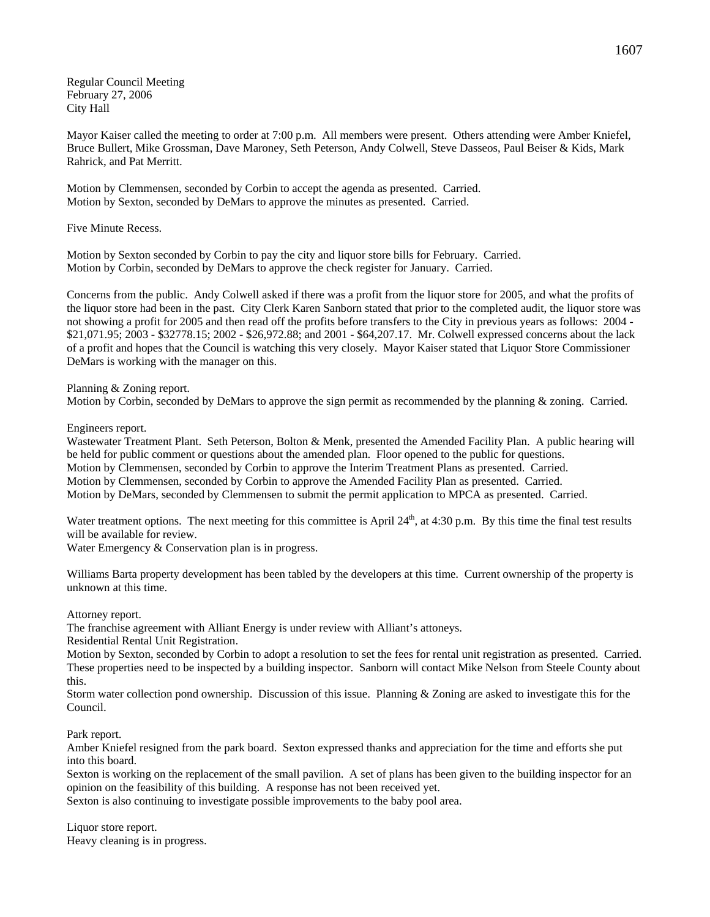Regular Council Meeting February 27, 2006 City Hall

Mayor Kaiser called the meeting to order at 7:00 p.m. All members were present. Others attending were Amber Kniefel, Bruce Bullert, Mike Grossman, Dave Maroney, Seth Peterson, Andy Colwell, Steve Dasseos, Paul Beiser & Kids, Mark Rahrick, and Pat Merritt.

Motion by Clemmensen, seconded by Corbin to accept the agenda as presented. Carried. Motion by Sexton, seconded by DeMars to approve the minutes as presented. Carried.

Five Minute Recess.

Motion by Sexton seconded by Corbin to pay the city and liquor store bills for February. Carried. Motion by Corbin, seconded by DeMars to approve the check register for January. Carried.

Concerns from the public. Andy Colwell asked if there was a profit from the liquor store for 2005, and what the profits of the liquor store had been in the past. City Clerk Karen Sanborn stated that prior to the completed audit, the liquor store was not showing a profit for 2005 and then read off the profits before transfers to the City in previous years as follows: 2004 - \$21,071.95; 2003 - \$32778.15; 2002 - \$26,972.88; and 2001 - \$64,207.17. Mr. Colwell expressed concerns about the lack of a profit and hopes that the Council is watching this very closely. Mayor Kaiser stated that Liquor Store Commissioner DeMars is working with the manager on this.

Planning & Zoning report.

Motion by Corbin, seconded by DeMars to approve the sign permit as recommended by the planning & zoning. Carried.

Engineers report.

Wastewater Treatment Plant. Seth Peterson, Bolton & Menk, presented the Amended Facility Plan. A public hearing will be held for public comment or questions about the amended plan. Floor opened to the public for questions. Motion by Clemmensen, seconded by Corbin to approve the Interim Treatment Plans as presented. Carried. Motion by Clemmensen, seconded by Corbin to approve the Amended Facility Plan as presented. Carried. Motion by DeMars, seconded by Clemmensen to submit the permit application to MPCA as presented. Carried.

Water treatment options. The next meeting for this committee is April 24<sup>th</sup>, at 4:30 p.m. By this time the final test results will be available for review.

Water Emergency & Conservation plan is in progress.

Williams Barta property development has been tabled by the developers at this time. Current ownership of the property is unknown at this time.

Attorney report.

The franchise agreement with Alliant Energy is under review with Alliant's attoneys.

Residential Rental Unit Registration.

Motion by Sexton, seconded by Corbin to adopt a resolution to set the fees for rental unit registration as presented. Carried. These properties need to be inspected by a building inspector. Sanborn will contact Mike Nelson from Steele County about this.

Storm water collection pond ownership. Discussion of this issue. Planning & Zoning are asked to investigate this for the Council.

Park report.

Amber Kniefel resigned from the park board. Sexton expressed thanks and appreciation for the time and efforts she put into this board.

Sexton is working on the replacement of the small pavilion. A set of plans has been given to the building inspector for an opinion on the feasibility of this building. A response has not been received yet.

Sexton is also continuing to investigate possible improvements to the baby pool area.

Liquor store report. Heavy cleaning is in progress.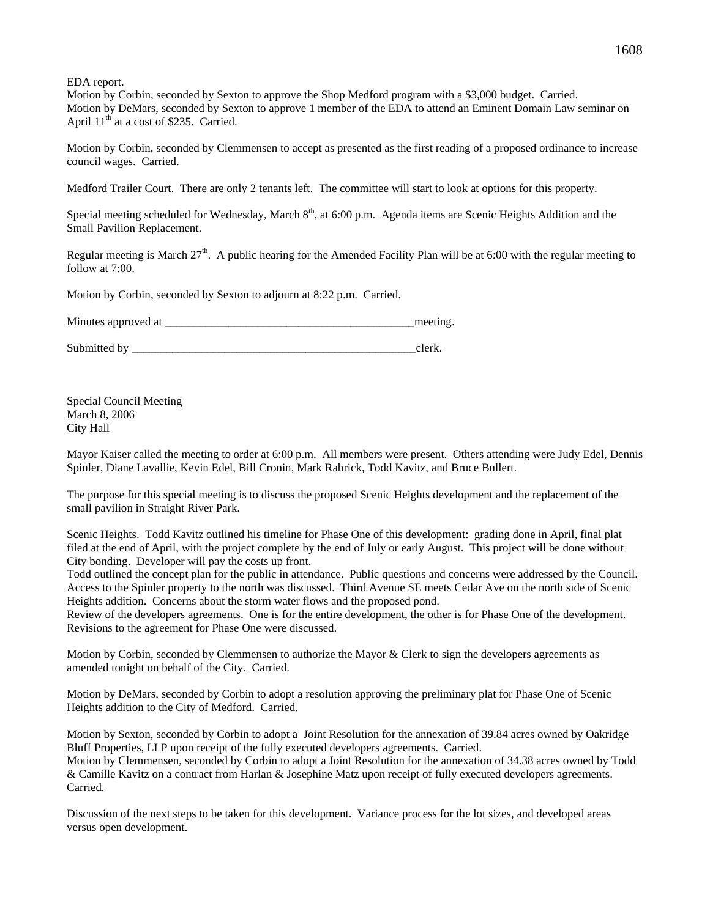EDA report.

Motion by Corbin, seconded by Sexton to approve the Shop Medford program with a \$3,000 budget. Carried. Motion by DeMars, seconded by Sexton to approve 1 member of the EDA to attend an Eminent Domain Law seminar on April  $11<sup>th</sup>$  at a cost of \$235. Carried.

Motion by Corbin, seconded by Clemmensen to accept as presented as the first reading of a proposed ordinance to increase council wages. Carried.

Medford Trailer Court. There are only 2 tenants left. The committee will start to look at options for this property.

Special meeting scheduled for Wednesday, March  $8<sup>th</sup>$ , at 6:00 p.m. Agenda items are Scenic Heights Addition and the Small Pavilion Replacement.

Regular meeting is March  $27<sup>th</sup>$ . A public hearing for the Amended Facility Plan will be at 6:00 with the regular meeting to follow at 7:00.

Motion by Corbin, seconded by Sexton to adjourn at 8:22 p.m. Carried.

Minutes approved at \_\_\_\_\_\_\_\_\_\_\_\_\_\_\_\_\_\_\_\_\_\_\_\_\_\_\_\_\_\_\_\_\_\_\_\_\_\_\_\_\_\_\_meeting.

Submitted by  $\Box$ 

Special Council Meeting March 8, 2006 City Hall

Mayor Kaiser called the meeting to order at 6:00 p.m. All members were present. Others attending were Judy Edel, Dennis Spinler, Diane Lavallie, Kevin Edel, Bill Cronin, Mark Rahrick, Todd Kavitz, and Bruce Bullert.

The purpose for this special meeting is to discuss the proposed Scenic Heights development and the replacement of the small pavilion in Straight River Park.

Scenic Heights. Todd Kavitz outlined his timeline for Phase One of this development: grading done in April, final plat filed at the end of April, with the project complete by the end of July or early August. This project will be done without City bonding. Developer will pay the costs up front.

Todd outlined the concept plan for the public in attendance. Public questions and concerns were addressed by the Council. Access to the Spinler property to the north was discussed. Third Avenue SE meets Cedar Ave on the north side of Scenic Heights addition. Concerns about the storm water flows and the proposed pond.

Review of the developers agreements. One is for the entire development, the other is for Phase One of the development. Revisions to the agreement for Phase One were discussed.

Motion by Corbin, seconded by Clemmensen to authorize the Mayor & Clerk to sign the developers agreements as amended tonight on behalf of the City. Carried.

Motion by DeMars, seconded by Corbin to adopt a resolution approving the preliminary plat for Phase One of Scenic Heights addition to the City of Medford. Carried.

Motion by Sexton, seconded by Corbin to adopt a Joint Resolution for the annexation of 39.84 acres owned by Oakridge Bluff Properties, LLP upon receipt of the fully executed developers agreements. Carried. Motion by Clemmensen, seconded by Corbin to adopt a Joint Resolution for the annexation of 34.38 acres owned by Todd & Camille Kavitz on a contract from Harlan & Josephine Matz upon receipt of fully executed developers agreements. Carried.

Discussion of the next steps to be taken for this development. Variance process for the lot sizes, and developed areas versus open development.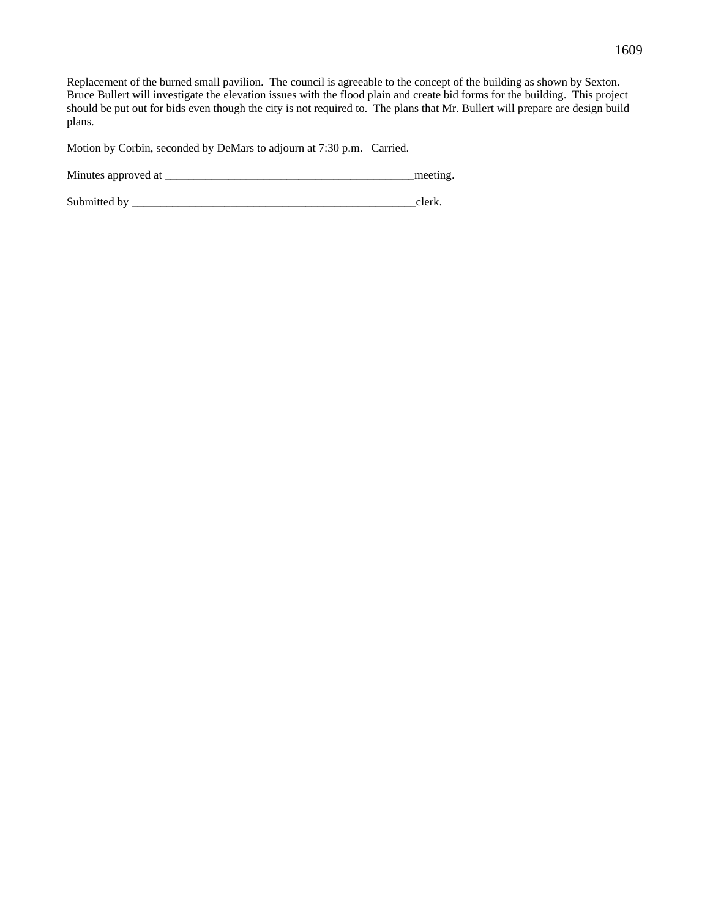Replacement of the burned small pavilion. The council is agreeable to the concept of the building as shown by Sexton. Bruce Bullert will investigate the elevation issues with the flood plain and create bid forms for the building. This project should be put out for bids even though the city is not required to. The plans that Mr. Bullert will prepare are design build plans.

Motion by Corbin, seconded by DeMars to adjourn at 7:30 p.m. Carried.

Minutes approved at \_\_\_\_\_\_\_\_\_\_\_\_\_\_\_\_\_\_\_\_\_\_\_\_\_\_\_\_\_\_\_\_\_\_\_\_\_\_\_\_\_\_\_meeting.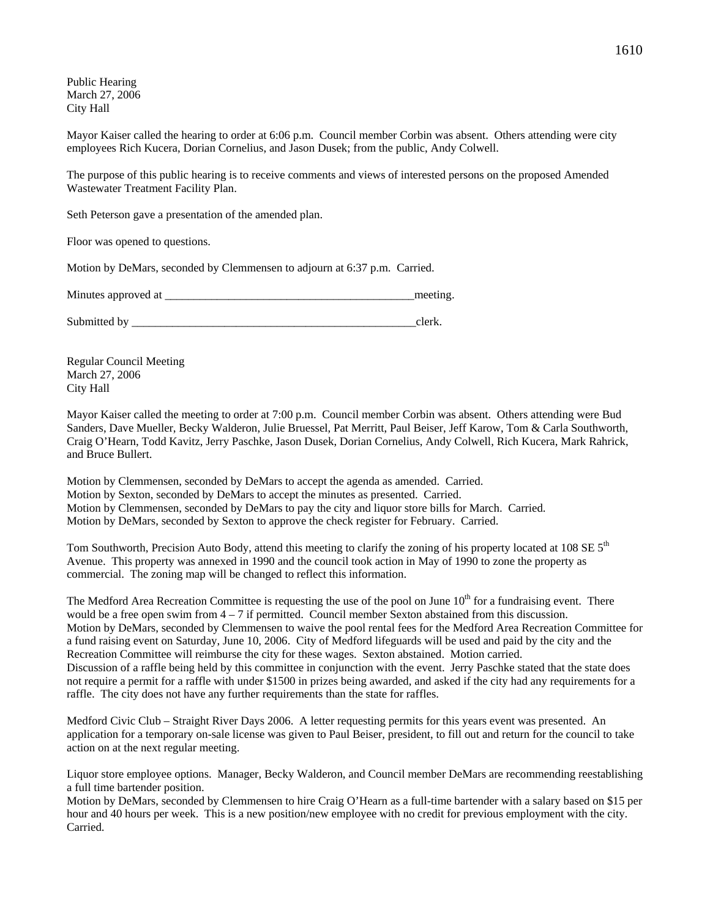Public Hearing March 27, 2006 City Hall

Mayor Kaiser called the hearing to order at 6:06 p.m. Council member Corbin was absent. Others attending were city employees Rich Kucera, Dorian Cornelius, and Jason Dusek; from the public, Andy Colwell.

The purpose of this public hearing is to receive comments and views of interested persons on the proposed Amended Wastewater Treatment Facility Plan.

Seth Peterson gave a presentation of the amended plan.

Floor was opened to questions.

Motion by DeMars, seconded by Clemmensen to adjourn at 6:37 p.m. Carried.

Minutes approved at the setting and the setting and the setting.

Submitted by \_\_\_\_\_\_\_\_\_\_\_\_\_\_\_\_\_\_\_\_\_\_\_\_\_\_\_\_\_\_\_\_\_\_\_\_\_\_\_\_\_\_\_\_\_\_\_\_\_clerk.

Regular Council Meeting March 27, 2006 City Hall

Mayor Kaiser called the meeting to order at 7:00 p.m. Council member Corbin was absent. Others attending were Bud Sanders, Dave Mueller, Becky Walderon, Julie Bruessel, Pat Merritt, Paul Beiser, Jeff Karow, Tom & Carla Southworth, Craig O'Hearn, Todd Kavitz, Jerry Paschke, Jason Dusek, Dorian Cornelius, Andy Colwell, Rich Kucera, Mark Rahrick, and Bruce Bullert.

Motion by Clemmensen, seconded by DeMars to accept the agenda as amended. Carried. Motion by Sexton, seconded by DeMars to accept the minutes as presented. Carried. Motion by Clemmensen, seconded by DeMars to pay the city and liquor store bills for March. Carried. Motion by DeMars, seconded by Sexton to approve the check register for February. Carried.

Tom Southworth, Precision Auto Body, attend this meeting to clarify the zoning of his property located at 108 SE  $5<sup>th</sup>$ Avenue. This property was annexed in 1990 and the council took action in May of 1990 to zone the property as commercial. The zoning map will be changed to reflect this information.

The Medford Area Recreation Committee is requesting the use of the pool on June  $10<sup>th</sup>$  for a fundraising event. There would be a free open swim from  $4 - 7$  if permitted. Council member Sexton abstained from this discussion. Motion by DeMars, seconded by Clemmensen to waive the pool rental fees for the Medford Area Recreation Committee for a fund raising event on Saturday, June 10, 2006. City of Medford lifeguards will be used and paid by the city and the Recreation Committee will reimburse the city for these wages. Sexton abstained. Motion carried. Discussion of a raffle being held by this committee in conjunction with the event. Jerry Paschke stated that the state does not require a permit for a raffle with under \$1500 in prizes being awarded, and asked if the city had any requirements for a raffle. The city does not have any further requirements than the state for raffles.

Medford Civic Club – Straight River Days 2006. A letter requesting permits for this years event was presented. An application for a temporary on-sale license was given to Paul Beiser, president, to fill out and return for the council to take action on at the next regular meeting.

Liquor store employee options. Manager, Becky Walderon, and Council member DeMars are recommending reestablishing a full time bartender position.

Motion by DeMars, seconded by Clemmensen to hire Craig O'Hearn as a full-time bartender with a salary based on \$15 per hour and 40 hours per week. This is a new position/new employee with no credit for previous employment with the city. Carried.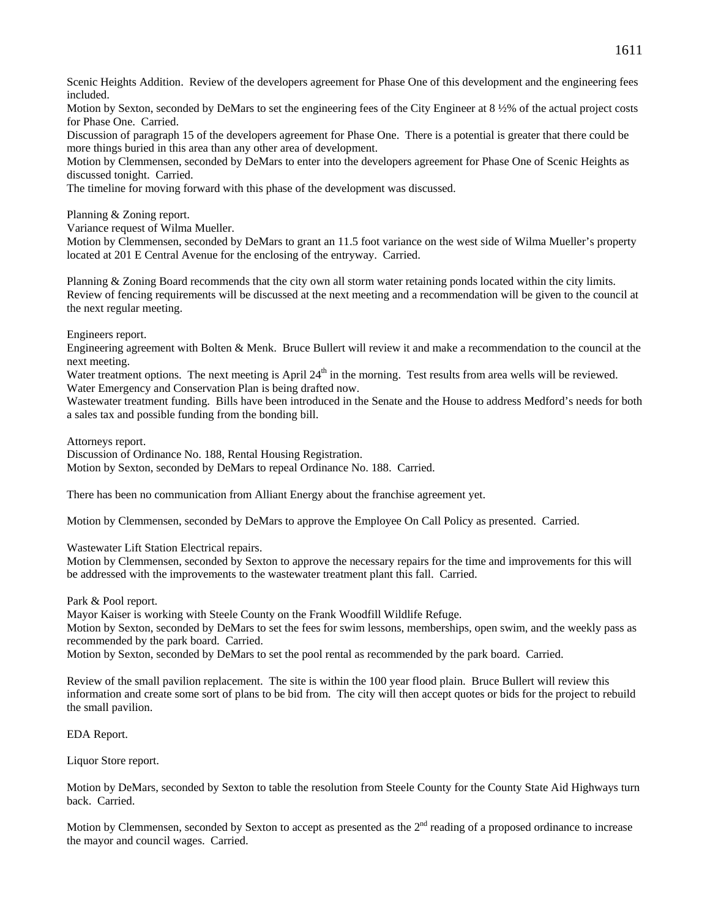Scenic Heights Addition. Review of the developers agreement for Phase One of this development and the engineering fees included.

Motion by Sexton, seconded by DeMars to set the engineering fees of the City Engineer at 8 ½% of the actual project costs for Phase One. Carried.

Discussion of paragraph 15 of the developers agreement for Phase One. There is a potential is greater that there could be more things buried in this area than any other area of development.

Motion by Clemmensen, seconded by DeMars to enter into the developers agreement for Phase One of Scenic Heights as discussed tonight. Carried.

The timeline for moving forward with this phase of the development was discussed.

Planning & Zoning report.

Variance request of Wilma Mueller.

Motion by Clemmensen, seconded by DeMars to grant an 11.5 foot variance on the west side of Wilma Mueller's property located at 201 E Central Avenue for the enclosing of the entryway. Carried.

Planning & Zoning Board recommends that the city own all storm water retaining ponds located within the city limits. Review of fencing requirements will be discussed at the next meeting and a recommendation will be given to the council at the next regular meeting.

Engineers report.

Engineering agreement with Bolten & Menk. Bruce Bullert will review it and make a recommendation to the council at the next meeting.

Water treatment options. The next meeting is April  $24<sup>th</sup>$  in the morning. Test results from area wells will be reviewed. Water Emergency and Conservation Plan is being drafted now.

Wastewater treatment funding. Bills have been introduced in the Senate and the House to address Medford's needs for both a sales tax and possible funding from the bonding bill.

Attorneys report.

Discussion of Ordinance No. 188, Rental Housing Registration. Motion by Sexton, seconded by DeMars to repeal Ordinance No. 188. Carried.

There has been no communication from Alliant Energy about the franchise agreement yet.

Motion by Clemmensen, seconded by DeMars to approve the Employee On Call Policy as presented. Carried.

Wastewater Lift Station Electrical repairs.

Motion by Clemmensen, seconded by Sexton to approve the necessary repairs for the time and improvements for this will be addressed with the improvements to the wastewater treatment plant this fall. Carried.

Park & Pool report.

Mayor Kaiser is working with Steele County on the Frank Woodfill Wildlife Refuge.

Motion by Sexton, seconded by DeMars to set the fees for swim lessons, memberships, open swim, and the weekly pass as recommended by the park board. Carried.

Motion by Sexton, seconded by DeMars to set the pool rental as recommended by the park board. Carried.

Review of the small pavilion replacement. The site is within the 100 year flood plain. Bruce Bullert will review this information and create some sort of plans to be bid from. The city will then accept quotes or bids for the project to rebuild the small pavilion.

EDA Report.

Liquor Store report.

Motion by DeMars, seconded by Sexton to table the resolution from Steele County for the County State Aid Highways turn back. Carried.

Motion by Clemmensen, seconded by Sexton to accept as presented as the 2<sup>nd</sup> reading of a proposed ordinance to increase the mayor and council wages. Carried.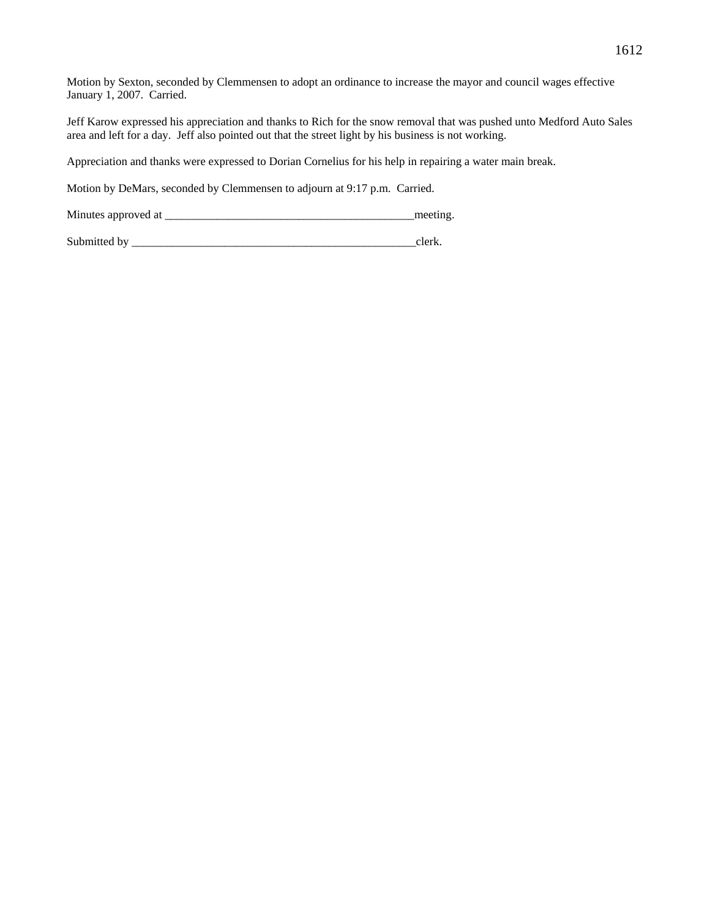Motion by Sexton, seconded by Clemmensen to adopt an ordinance to increase the mayor and council wages effective January 1, 2007. Carried.

Jeff Karow expressed his appreciation and thanks to Rich for the snow removal that was pushed unto Medford Auto Sales area and left for a day. Jeff also pointed out that the street light by his business is not working.

Appreciation and thanks were expressed to Dorian Cornelius for his help in repairing a water main break.

Motion by DeMars, seconded by Clemmensen to adjourn at 9:17 p.m. Carried.

Minutes approved at \_\_\_\_\_\_\_\_\_\_\_\_\_\_\_\_\_\_\_\_\_\_\_\_\_\_\_\_\_\_\_\_\_\_\_\_\_\_\_\_\_\_\_meeting.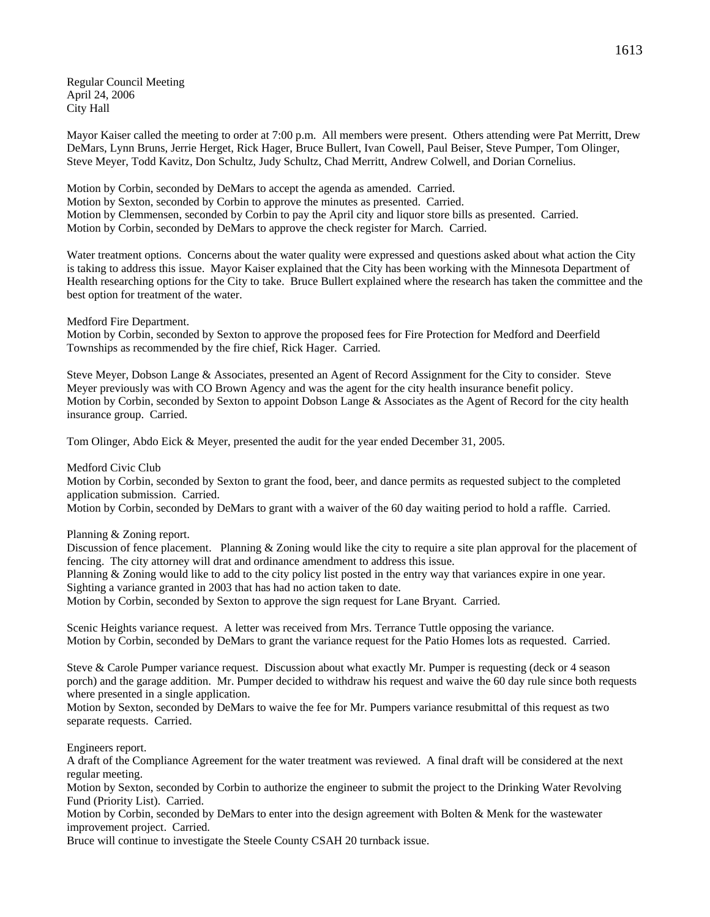Regular Council Meeting April 24, 2006 City Hall

Mayor Kaiser called the meeting to order at 7:00 p.m. All members were present. Others attending were Pat Merritt, Drew DeMars, Lynn Bruns, Jerrie Herget, Rick Hager, Bruce Bullert, Ivan Cowell, Paul Beiser, Steve Pumper, Tom Olinger, Steve Meyer, Todd Kavitz, Don Schultz, Judy Schultz, Chad Merritt, Andrew Colwell, and Dorian Cornelius.

Motion by Corbin, seconded by DeMars to accept the agenda as amended. Carried. Motion by Sexton, seconded by Corbin to approve the minutes as presented. Carried. Motion by Clemmensen, seconded by Corbin to pay the April city and liquor store bills as presented. Carried. Motion by Corbin, seconded by DeMars to approve the check register for March. Carried.

Water treatment options. Concerns about the water quality were expressed and questions asked about what action the City is taking to address this issue. Mayor Kaiser explained that the City has been working with the Minnesota Department of Health researching options for the City to take. Bruce Bullert explained where the research has taken the committee and the best option for treatment of the water.

Medford Fire Department.

Motion by Corbin, seconded by Sexton to approve the proposed fees for Fire Protection for Medford and Deerfield Townships as recommended by the fire chief, Rick Hager. Carried.

Steve Meyer, Dobson Lange & Associates, presented an Agent of Record Assignment for the City to consider. Steve Meyer previously was with CO Brown Agency and was the agent for the city health insurance benefit policy. Motion by Corbin, seconded by Sexton to appoint Dobson Lange & Associates as the Agent of Record for the city health insurance group. Carried.

Tom Olinger, Abdo Eick & Meyer, presented the audit for the year ended December 31, 2005.

Medford Civic Club

Motion by Corbin, seconded by Sexton to grant the food, beer, and dance permits as requested subject to the completed application submission. Carried.

Motion by Corbin, seconded by DeMars to grant with a waiver of the 60 day waiting period to hold a raffle. Carried.

Planning & Zoning report.

Discussion of fence placement. Planning & Zoning would like the city to require a site plan approval for the placement of fencing. The city attorney will drat and ordinance amendment to address this issue.

Planning & Zoning would like to add to the city policy list posted in the entry way that variances expire in one year. Sighting a variance granted in 2003 that has had no action taken to date.

Motion by Corbin, seconded by Sexton to approve the sign request for Lane Bryant. Carried.

Scenic Heights variance request. A letter was received from Mrs. Terrance Tuttle opposing the variance. Motion by Corbin, seconded by DeMars to grant the variance request for the Patio Homes lots as requested. Carried.

Steve & Carole Pumper variance request. Discussion about what exactly Mr. Pumper is requesting (deck or 4 season porch) and the garage addition. Mr. Pumper decided to withdraw his request and waive the 60 day rule since both requests where presented in a single application.

Motion by Sexton, seconded by DeMars to waive the fee for Mr. Pumpers variance resubmittal of this request as two separate requests. Carried.

Engineers report.

A draft of the Compliance Agreement for the water treatment was reviewed. A final draft will be considered at the next regular meeting.

Motion by Sexton, seconded by Corbin to authorize the engineer to submit the project to the Drinking Water Revolving Fund (Priority List). Carried.

Motion by Corbin, seconded by DeMars to enter into the design agreement with Bolten & Menk for the wastewater improvement project. Carried.

Bruce will continue to investigate the Steele County CSAH 20 turnback issue.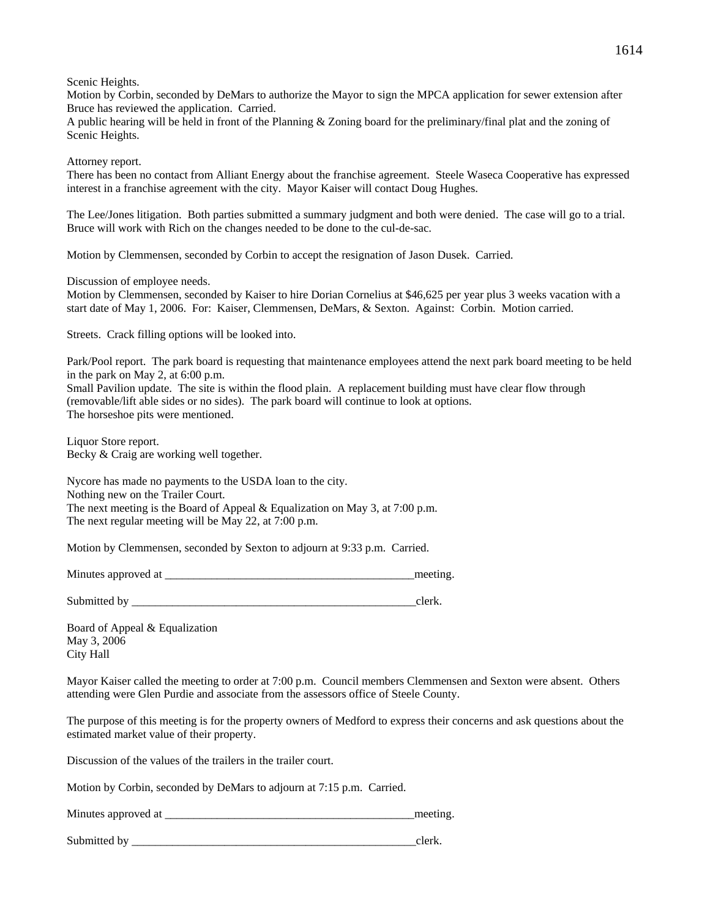Scenic Heights.

Motion by Corbin, seconded by DeMars to authorize the Mayor to sign the MPCA application for sewer extension after Bruce has reviewed the application. Carried.

A public hearing will be held in front of the Planning & Zoning board for the preliminary/final plat and the zoning of Scenic Heights.

Attorney report.

There has been no contact from Alliant Energy about the franchise agreement. Steele Waseca Cooperative has expressed interest in a franchise agreement with the city. Mayor Kaiser will contact Doug Hughes.

The Lee/Jones litigation. Both parties submitted a summary judgment and both were denied. The case will go to a trial. Bruce will work with Rich on the changes needed to be done to the cul-de-sac.

Motion by Clemmensen, seconded by Corbin to accept the resignation of Jason Dusek. Carried.

Discussion of employee needs.

Motion by Clemmensen, seconded by Kaiser to hire Dorian Cornelius at \$46,625 per year plus 3 weeks vacation with a start date of May 1, 2006. For: Kaiser, Clemmensen, DeMars, & Sexton. Against: Corbin. Motion carried.

Streets. Crack filling options will be looked into.

Park/Pool report. The park board is requesting that maintenance employees attend the next park board meeting to be held in the park on May 2, at 6:00 p.m.

Small Pavilion update. The site is within the flood plain. A replacement building must have clear flow through (removable/lift able sides or no sides). The park board will continue to look at options. The horseshoe pits were mentioned.

Liquor Store report. Becky & Craig are working well together.

Nycore has made no payments to the USDA loan to the city. Nothing new on the Trailer Court. The next meeting is the Board of Appeal & Equalization on May 3, at 7:00 p.m. The next regular meeting will be May 22, at 7:00 p.m.

Motion by Clemmensen, seconded by Sexton to adjourn at 9:33 p.m. Carried.

Minutes approved at the setting and the setting and the setting and the setting.

Submitted by \_\_\_\_\_\_\_\_\_\_\_\_\_\_\_\_\_\_\_\_\_\_\_\_\_\_\_\_\_\_\_\_\_\_\_\_\_\_\_\_\_\_\_\_\_\_\_\_\_clerk.

Board of Appeal & Equalization May 3, 2006 City Hall

Mayor Kaiser called the meeting to order at 7:00 p.m. Council members Clemmensen and Sexton were absent. Others attending were Glen Purdie and associate from the assessors office of Steele County.

The purpose of this meeting is for the property owners of Medford to express their concerns and ask questions about the estimated market value of their property.

Discussion of the values of the trailers in the trailer court.

Motion by Corbin, seconded by DeMars to adjourn at 7:15 p.m. Carried.

| Minutes approved at |  |
|---------------------|--|
|                     |  |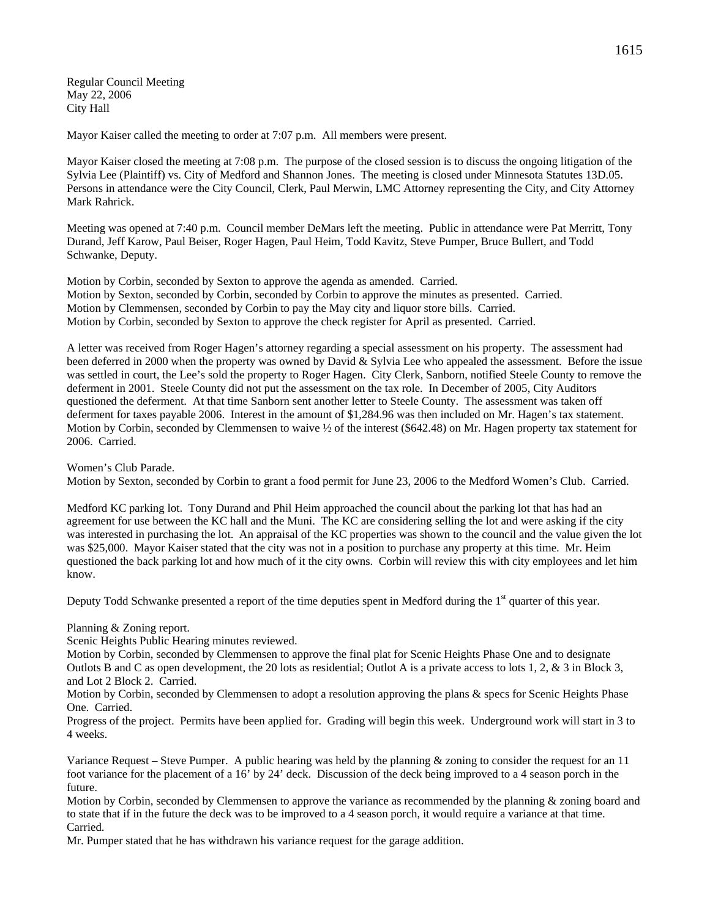Regular Council Meeting May 22, 2006 City Hall

Mayor Kaiser called the meeting to order at 7:07 p.m. All members were present.

Mayor Kaiser closed the meeting at 7:08 p.m. The purpose of the closed session is to discuss the ongoing litigation of the Sylvia Lee (Plaintiff) vs. City of Medford and Shannon Jones. The meeting is closed under Minnesota Statutes 13D.05. Persons in attendance were the City Council, Clerk, Paul Merwin, LMC Attorney representing the City, and City Attorney Mark Rahrick.

Meeting was opened at 7:40 p.m. Council member DeMars left the meeting. Public in attendance were Pat Merritt, Tony Durand, Jeff Karow, Paul Beiser, Roger Hagen, Paul Heim, Todd Kavitz, Steve Pumper, Bruce Bullert, and Todd Schwanke, Deputy.

Motion by Corbin, seconded by Sexton to approve the agenda as amended. Carried. Motion by Sexton, seconded by Corbin, seconded by Corbin to approve the minutes as presented. Carried. Motion by Clemmensen, seconded by Corbin to pay the May city and liquor store bills. Carried. Motion by Corbin, seconded by Sexton to approve the check register for April as presented. Carried.

A letter was received from Roger Hagen's attorney regarding a special assessment on his property. The assessment had been deferred in 2000 when the property was owned by David & Sylvia Lee who appealed the assessment. Before the issue was settled in court, the Lee's sold the property to Roger Hagen. City Clerk, Sanborn, notified Steele County to remove the deferment in 2001. Steele County did not put the assessment on the tax role. In December of 2005, City Auditors questioned the deferment. At that time Sanborn sent another letter to Steele County. The assessment was taken off deferment for taxes payable 2006. Interest in the amount of \$1,284.96 was then included on Mr. Hagen's tax statement. Motion by Corbin, seconded by Clemmensen to waive ½ of the interest (\$642.48) on Mr. Hagen property tax statement for 2006. Carried.

Women's Club Parade.

Motion by Sexton, seconded by Corbin to grant a food permit for June 23, 2006 to the Medford Women's Club. Carried.

Medford KC parking lot. Tony Durand and Phil Heim approached the council about the parking lot that has had an agreement for use between the KC hall and the Muni. The KC are considering selling the lot and were asking if the city was interested in purchasing the lot. An appraisal of the KC properties was shown to the council and the value given the lot was \$25,000. Mayor Kaiser stated that the city was not in a position to purchase any property at this time. Mr. Heim questioned the back parking lot and how much of it the city owns. Corbin will review this with city employees and let him know.

Deputy Todd Schwanke presented a report of the time deputies spent in Medford during the  $1<sup>st</sup>$  quarter of this year.

Planning & Zoning report.

Scenic Heights Public Hearing minutes reviewed.

Motion by Corbin, seconded by Clemmensen to approve the final plat for Scenic Heights Phase One and to designate Outlots B and C as open development, the 20 lots as residential; Outlot A is a private access to lots 1, 2, & 3 in Block 3, and Lot 2 Block 2. Carried.

Motion by Corbin, seconded by Clemmensen to adopt a resolution approving the plans & specs for Scenic Heights Phase One. Carried.

Progress of the project. Permits have been applied for. Grading will begin this week. Underground work will start in 3 to 4 weeks.

Variance Request – Steve Pumper. A public hearing was held by the planning & zoning to consider the request for an 11 foot variance for the placement of a 16' by 24' deck. Discussion of the deck being improved to a 4 season porch in the future.

Motion by Corbin, seconded by Clemmensen to approve the variance as recommended by the planning & zoning board and to state that if in the future the deck was to be improved to a 4 season porch, it would require a variance at that time. Carried.

Mr. Pumper stated that he has withdrawn his variance request for the garage addition.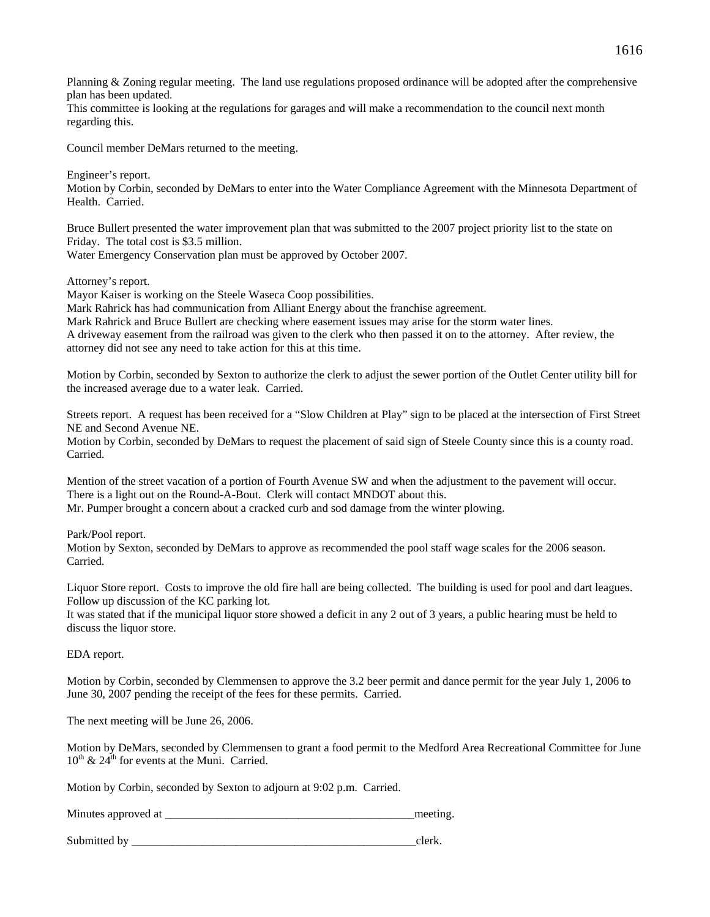Planning & Zoning regular meeting. The land use regulations proposed ordinance will be adopted after the comprehensive plan has been updated.

This committee is looking at the regulations for garages and will make a recommendation to the council next month regarding this.

Council member DeMars returned to the meeting.

Engineer's report.

Motion by Corbin, seconded by DeMars to enter into the Water Compliance Agreement with the Minnesota Department of Health. Carried.

Bruce Bullert presented the water improvement plan that was submitted to the 2007 project priority list to the state on Friday. The total cost is \$3.5 million.

Water Emergency Conservation plan must be approved by October 2007.

Attorney's report.

Mayor Kaiser is working on the Steele Waseca Coop possibilities.

Mark Rahrick has had communication from Alliant Energy about the franchise agreement.

Mark Rahrick and Bruce Bullert are checking where easement issues may arise for the storm water lines.

A driveway easement from the railroad was given to the clerk who then passed it on to the attorney. After review, the attorney did not see any need to take action for this at this time.

Motion by Corbin, seconded by Sexton to authorize the clerk to adjust the sewer portion of the Outlet Center utility bill for the increased average due to a water leak. Carried.

Streets report. A request has been received for a "Slow Children at Play" sign to be placed at the intersection of First Street NE and Second Avenue NE.

Motion by Corbin, seconded by DeMars to request the placement of said sign of Steele County since this is a county road. Carried.

Mention of the street vacation of a portion of Fourth Avenue SW and when the adjustment to the pavement will occur. There is a light out on the Round-A-Bout. Clerk will contact MNDOT about this. Mr. Pumper brought a concern about a cracked curb and sod damage from the winter plowing.

Park/Pool report.

Motion by Sexton, seconded by DeMars to approve as recommended the pool staff wage scales for the 2006 season. Carried.

Liquor Store report. Costs to improve the old fire hall are being collected. The building is used for pool and dart leagues. Follow up discussion of the KC parking lot.

It was stated that if the municipal liquor store showed a deficit in any 2 out of 3 years, a public hearing must be held to discuss the liquor store.

EDA report.

Motion by Corbin, seconded by Clemmensen to approve the 3.2 beer permit and dance permit for the year July 1, 2006 to June 30, 2007 pending the receipt of the fees for these permits. Carried.

The next meeting will be June 26, 2006.

Motion by DeMars, seconded by Clemmensen to grant a food permit to the Medford Area Recreational Committee for June  $10^{th}$  &  $24^{th}$  for events at the Muni. Carried.

Motion by Corbin, seconded by Sexton to adjourn at 9:02 p.m. Carried.

| Minutes approved at | meeting |
|---------------------|---------|
|                     |         |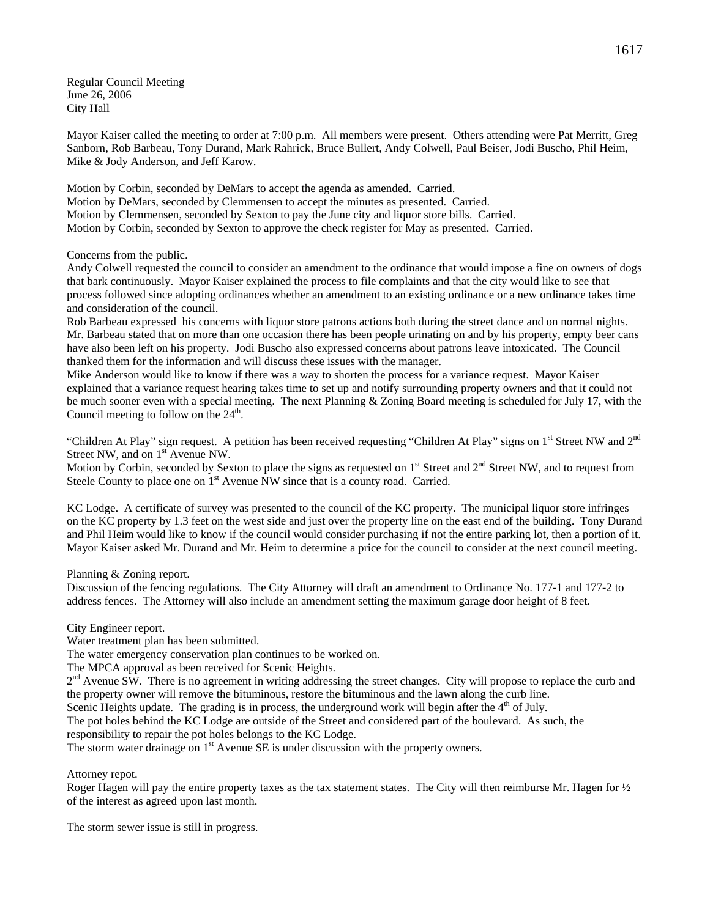Regular Council Meeting June 26, 2006 City Hall

Mayor Kaiser called the meeting to order at 7:00 p.m. All members were present. Others attending were Pat Merritt, Greg Sanborn, Rob Barbeau, Tony Durand, Mark Rahrick, Bruce Bullert, Andy Colwell, Paul Beiser, Jodi Buscho, Phil Heim, Mike & Jody Anderson, and Jeff Karow.

Motion by Corbin, seconded by DeMars to accept the agenda as amended. Carried. Motion by DeMars, seconded by Clemmensen to accept the minutes as presented. Carried. Motion by Clemmensen, seconded by Sexton to pay the June city and liquor store bills. Carried. Motion by Corbin, seconded by Sexton to approve the check register for May as presented. Carried.

Concerns from the public.

Andy Colwell requested the council to consider an amendment to the ordinance that would impose a fine on owners of dogs that bark continuously. Mayor Kaiser explained the process to file complaints and that the city would like to see that process followed since adopting ordinances whether an amendment to an existing ordinance or a new ordinance takes time and consideration of the council.

Rob Barbeau expressed his concerns with liquor store patrons actions both during the street dance and on normal nights. Mr. Barbeau stated that on more than one occasion there has been people urinating on and by his property, empty beer cans have also been left on his property. Jodi Buscho also expressed concerns about patrons leave intoxicated. The Council thanked them for the information and will discuss these issues with the manager.

Mike Anderson would like to know if there was a way to shorten the process for a variance request. Mayor Kaiser explained that a variance request hearing takes time to set up and notify surrounding property owners and that it could not be much sooner even with a special meeting. The next Planning & Zoning Board meeting is scheduled for July 17, with the Council meeting to follow on the  $24<sup>th</sup>$ .

"Children At Play" sign request. A petition has been received requesting "Children At Play" signs on 1<sup>st</sup> Street NW and 2<sup>nd</sup> Street NW, and on 1<sup>st</sup> Avenue NW.

Motion by Corbin, seconded by Sexton to place the signs as requested on 1<sup>st</sup> Street and 2<sup>nd</sup> Street NW, and to request from Steele County to place one on 1<sup>st</sup> Avenue NW since that is a county road. Carried.

KC Lodge. A certificate of survey was presented to the council of the KC property. The municipal liquor store infringes on the KC property by 1.3 feet on the west side and just over the property line on the east end of the building. Tony Durand and Phil Heim would like to know if the council would consider purchasing if not the entire parking lot, then a portion of it. Mayor Kaiser asked Mr. Durand and Mr. Heim to determine a price for the council to consider at the next council meeting.

Planning & Zoning report.

Discussion of the fencing regulations. The City Attorney will draft an amendment to Ordinance No. 177-1 and 177-2 to address fences. The Attorney will also include an amendment setting the maximum garage door height of 8 feet.

City Engineer report.

Water treatment plan has been submitted.

The water emergency conservation plan continues to be worked on.

The MPCA approval as been received for Scenic Heights.

 $2<sup>nd</sup>$  Avenue SW. There is no agreement in writing addressing the street changes. City will propose to replace the curb and the property owner will remove the bituminous, restore the bituminous and the lawn along the curb line.

Scenic Heights update. The grading is in process, the underground work will begin after the  $4<sup>th</sup>$  of July.

The pot holes behind the KC Lodge are outside of the Street and considered part of the boulevard. As such, the responsibility to repair the pot holes belongs to the KC Lodge.

The storm water drainage on  $1<sup>st</sup>$  Avenue SE is under discussion with the property owners.

Attorney repot.

Roger Hagen will pay the entire property taxes as the tax statement states. The City will then reimburse Mr. Hagen for ½ of the interest as agreed upon last month.

The storm sewer issue is still in progress.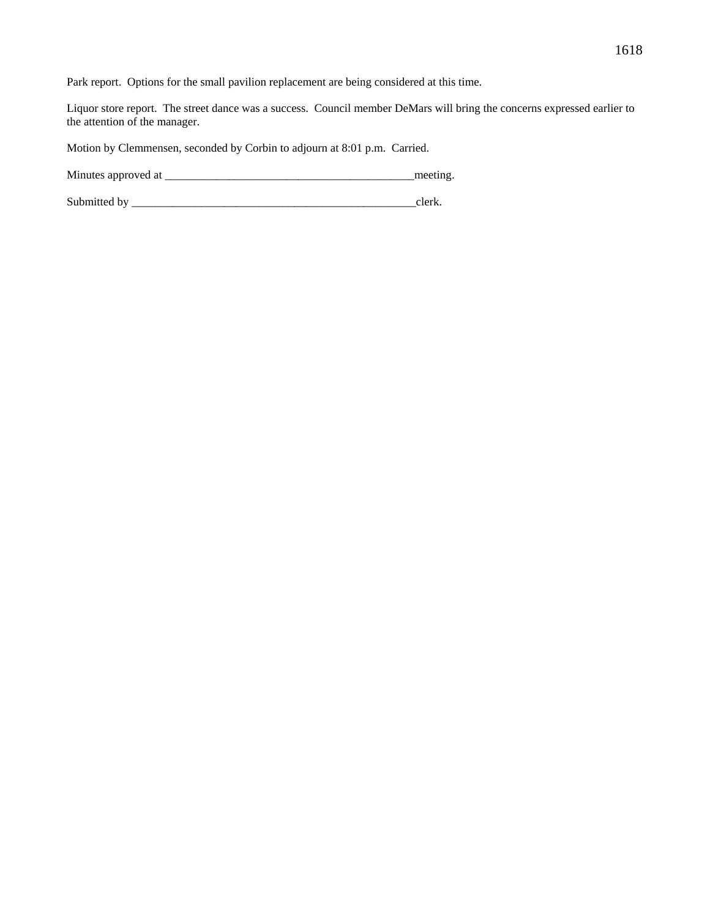Park report. Options for the small pavilion replacement are being considered at this time.

Liquor store report. The street dance was a success. Council member DeMars will bring the concerns expressed earlier to the attention of the manager.

Motion by Clemmensen, seconded by Corbin to adjourn at 8:01 p.m. Carried.

Minutes approved at \_\_\_\_\_\_\_\_\_\_\_\_\_\_\_\_\_\_\_\_\_\_\_\_\_\_\_\_\_\_\_\_\_\_\_\_\_\_\_\_\_\_\_meeting.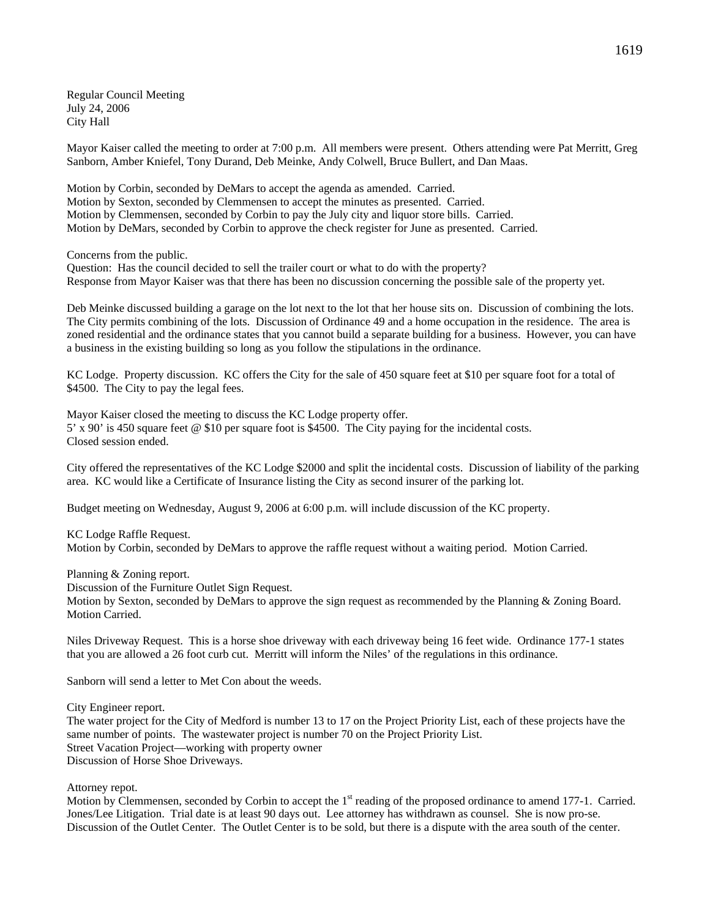Regular Council Meeting July 24, 2006 City Hall

Mayor Kaiser called the meeting to order at 7:00 p.m. All members were present. Others attending were Pat Merritt, Greg Sanborn, Amber Kniefel, Tony Durand, Deb Meinke, Andy Colwell, Bruce Bullert, and Dan Maas.

Motion by Corbin, seconded by DeMars to accept the agenda as amended. Carried. Motion by Sexton, seconded by Clemmensen to accept the minutes as presented. Carried. Motion by Clemmensen, seconded by Corbin to pay the July city and liquor store bills. Carried. Motion by DeMars, seconded by Corbin to approve the check register for June as presented. Carried.

Concerns from the public.

Question: Has the council decided to sell the trailer court or what to do with the property? Response from Mayor Kaiser was that there has been no discussion concerning the possible sale of the property yet.

Deb Meinke discussed building a garage on the lot next to the lot that her house sits on. Discussion of combining the lots. The City permits combining of the lots. Discussion of Ordinance 49 and a home occupation in the residence. The area is zoned residential and the ordinance states that you cannot build a separate building for a business. However, you can have a business in the existing building so long as you follow the stipulations in the ordinance.

KC Lodge. Property discussion. KC offers the City for the sale of 450 square feet at \$10 per square foot for a total of \$4500. The City to pay the legal fees.

Mayor Kaiser closed the meeting to discuss the KC Lodge property offer. 5' x 90' is 450 square feet @ \$10 per square foot is \$4500. The City paying for the incidental costs. Closed session ended.

City offered the representatives of the KC Lodge \$2000 and split the incidental costs. Discussion of liability of the parking area. KC would like a Certificate of Insurance listing the City as second insurer of the parking lot.

Budget meeting on Wednesday, August 9, 2006 at 6:00 p.m. will include discussion of the KC property.

KC Lodge Raffle Request. Motion by Corbin, seconded by DeMars to approve the raffle request without a waiting period. Motion Carried.

Planning & Zoning report.

Discussion of the Furniture Outlet Sign Request.

Motion by Sexton, seconded by DeMars to approve the sign request as recommended by the Planning & Zoning Board. Motion Carried.

Niles Driveway Request. This is a horse shoe driveway with each driveway being 16 feet wide. Ordinance 177-1 states that you are allowed a 26 foot curb cut. Merritt will inform the Niles' of the regulations in this ordinance.

Sanborn will send a letter to Met Con about the weeds.

City Engineer report.

The water project for the City of Medford is number 13 to 17 on the Project Priority List, each of these projects have the same number of points. The wastewater project is number 70 on the Project Priority List. Street Vacation Project—working with property owner Discussion of Horse Shoe Driveways.

Attorney repot.

Motion by Clemmensen, seconded by Corbin to accept the 1<sup>st</sup> reading of the proposed ordinance to amend 177-1. Carried. Jones/Lee Litigation. Trial date is at least 90 days out. Lee attorney has withdrawn as counsel. She is now pro-se. Discussion of the Outlet Center. The Outlet Center is to be sold, but there is a dispute with the area south of the center.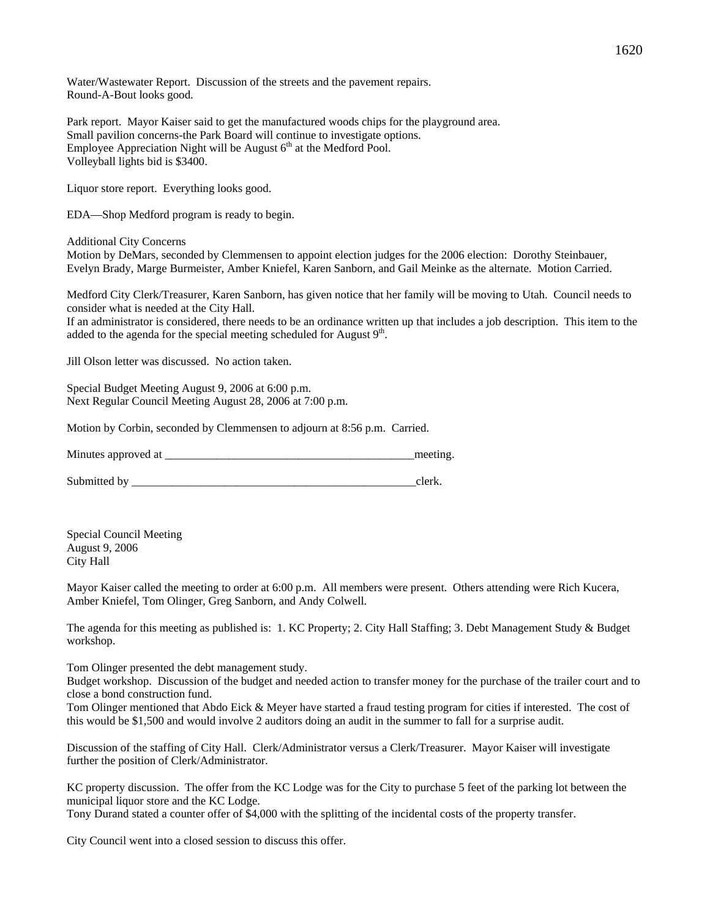Water/Wastewater Report. Discussion of the streets and the pavement repairs. Round-A-Bout looks good.

Park report. Mayor Kaiser said to get the manufactured woods chips for the playground area. Small pavilion concerns-the Park Board will continue to investigate options. Employee Appreciation Night will be August  $6<sup>th</sup>$  at the Medford Pool. Volleyball lights bid is \$3400.

Liquor store report. Everything looks good.

EDA—Shop Medford program is ready to begin.

Additional City Concerns

Motion by DeMars, seconded by Clemmensen to appoint election judges for the 2006 election: Dorothy Steinbauer, Evelyn Brady, Marge Burmeister, Amber Kniefel, Karen Sanborn, and Gail Meinke as the alternate. Motion Carried.

Medford City Clerk/Treasurer, Karen Sanborn, has given notice that her family will be moving to Utah. Council needs to consider what is needed at the City Hall.

If an administrator is considered, there needs to be an ordinance written up that includes a job description. This item to the added to the agenda for the special meeting scheduled for August 9<sup>th</sup>.

Jill Olson letter was discussed. No action taken.

Special Budget Meeting August 9, 2006 at 6:00 p.m. Next Regular Council Meeting August 28, 2006 at 7:00 p.m.

Motion by Corbin, seconded by Clemmensen to adjourn at 8:56 p.m. Carried.

Minutes approved at  $\Box$ 

Submitted by \_\_\_\_\_\_\_\_\_\_\_\_\_\_\_\_\_\_\_\_\_\_\_\_\_\_\_\_\_\_\_\_\_\_\_\_\_\_\_\_\_\_\_\_\_\_\_\_\_clerk.

Special Council Meeting August 9, 2006 City Hall

Mayor Kaiser called the meeting to order at 6:00 p.m. All members were present. Others attending were Rich Kucera, Amber Kniefel, Tom Olinger, Greg Sanborn, and Andy Colwell.

The agenda for this meeting as published is: 1. KC Property; 2. City Hall Staffing; 3. Debt Management Study & Budget workshop.

Tom Olinger presented the debt management study.

Budget workshop. Discussion of the budget and needed action to transfer money for the purchase of the trailer court and to close a bond construction fund.

Tom Olinger mentioned that Abdo Eick & Meyer have started a fraud testing program for cities if interested. The cost of this would be \$1,500 and would involve 2 auditors doing an audit in the summer to fall for a surprise audit.

Discussion of the staffing of City Hall. Clerk/Administrator versus a Clerk/Treasurer. Mayor Kaiser will investigate further the position of Clerk/Administrator.

KC property discussion. The offer from the KC Lodge was for the City to purchase 5 feet of the parking lot between the municipal liquor store and the KC Lodge.

Tony Durand stated a counter offer of \$4,000 with the splitting of the incidental costs of the property transfer.

City Council went into a closed session to discuss this offer.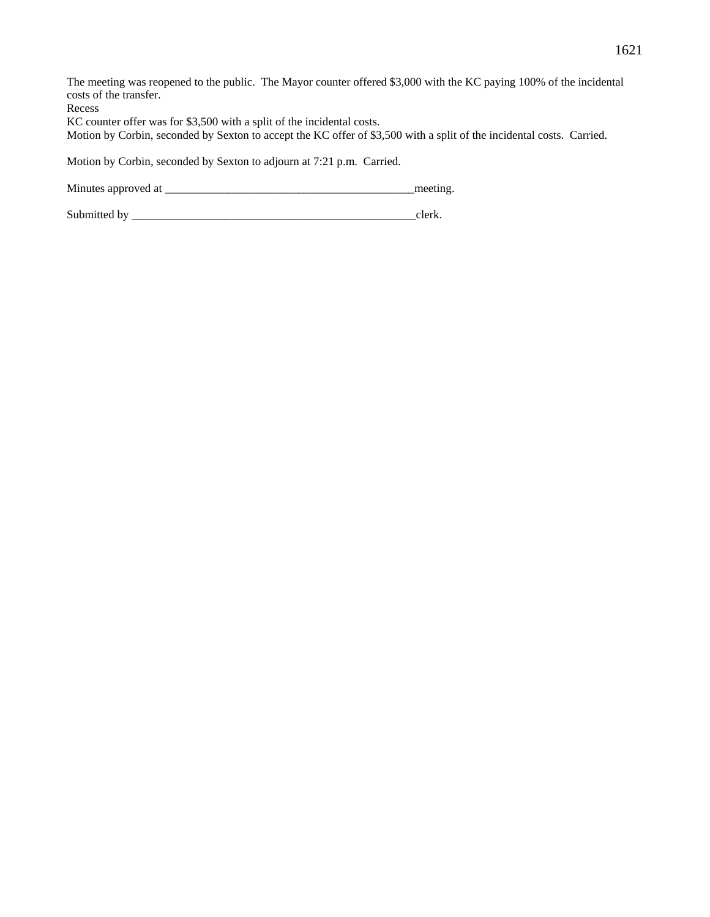| The meeting was reopened to the public. The Mayor counter offered \$3,000 with the KC paying 100% of the incidental   |
|-----------------------------------------------------------------------------------------------------------------------|
| costs of the transfer.                                                                                                |
| Recess                                                                                                                |
| KC counter offer was for \$3,500 with a split of the incidental costs.                                                |
| Motion by Corbin, seconded by Sexton to accept the KC offer of \$3,500 with a split of the incidental costs. Carried. |
|                                                                                                                       |
| Motion by Corbin, seconded by Sexton to adjourn at 7:21 p.m. Carried.                                                 |
|                                                                                                                       |

Minutes approved at \_\_\_\_\_\_\_\_\_\_\_\_\_\_\_\_\_\_\_\_\_\_\_\_\_\_\_\_\_\_\_\_\_\_\_\_\_\_\_\_\_\_\_meeting.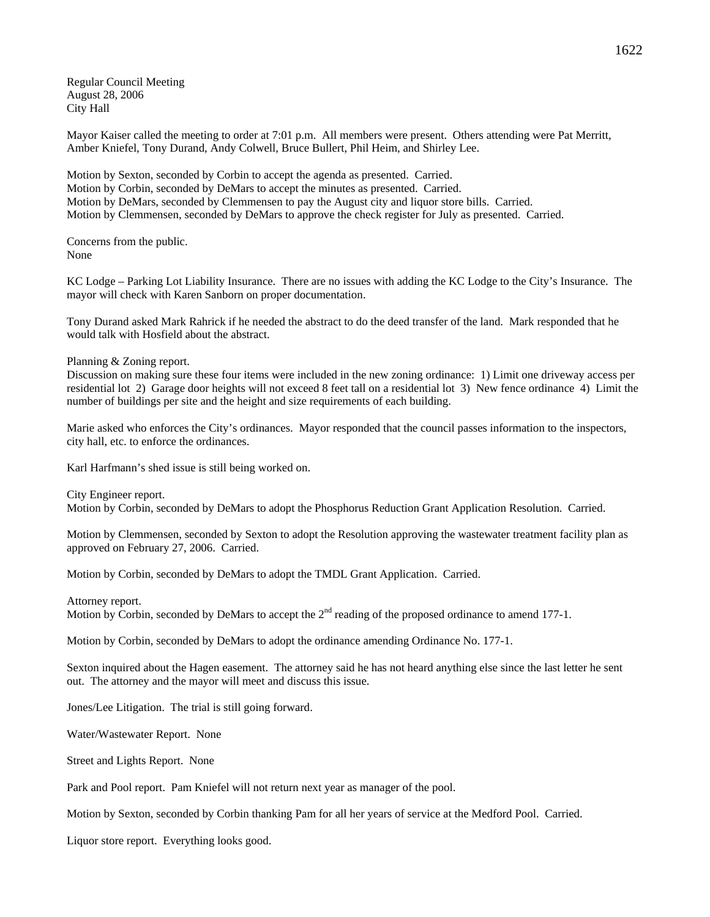Regular Council Meeting August 28, 2006 City Hall

Mayor Kaiser called the meeting to order at 7:01 p.m. All members were present. Others attending were Pat Merritt, Amber Kniefel, Tony Durand, Andy Colwell, Bruce Bullert, Phil Heim, and Shirley Lee.

Motion by Sexton, seconded by Corbin to accept the agenda as presented. Carried. Motion by Corbin, seconded by DeMars to accept the minutes as presented. Carried. Motion by DeMars, seconded by Clemmensen to pay the August city and liquor store bills. Carried. Motion by Clemmensen, seconded by DeMars to approve the check register for July as presented. Carried.

Concerns from the public. None

KC Lodge – Parking Lot Liability Insurance. There are no issues with adding the KC Lodge to the City's Insurance. The mayor will check with Karen Sanborn on proper documentation.

Tony Durand asked Mark Rahrick if he needed the abstract to do the deed transfer of the land. Mark responded that he would talk with Hosfield about the abstract.

Planning & Zoning report.

Discussion on making sure these four items were included in the new zoning ordinance: 1) Limit one driveway access per residential lot 2) Garage door heights will not exceed 8 feet tall on a residential lot 3) New fence ordinance 4) Limit the number of buildings per site and the height and size requirements of each building.

Marie asked who enforces the City's ordinances. Mayor responded that the council passes information to the inspectors, city hall, etc. to enforce the ordinances.

Karl Harfmann's shed issue is still being worked on.

City Engineer report.

Motion by Corbin, seconded by DeMars to adopt the Phosphorus Reduction Grant Application Resolution. Carried.

Motion by Clemmensen, seconded by Sexton to adopt the Resolution approving the wastewater treatment facility plan as approved on February 27, 2006. Carried.

Motion by Corbin, seconded by DeMars to adopt the TMDL Grant Application. Carried.

Attorney report.

Motion by Corbin, seconded by DeMars to accept the  $2<sup>nd</sup>$  reading of the proposed ordinance to amend 177-1.

Motion by Corbin, seconded by DeMars to adopt the ordinance amending Ordinance No. 177-1.

Sexton inquired about the Hagen easement. The attorney said he has not heard anything else since the last letter he sent out. The attorney and the mayor will meet and discuss this issue.

Jones/Lee Litigation. The trial is still going forward.

Water/Wastewater Report. None

Street and Lights Report. None

Park and Pool report. Pam Kniefel will not return next year as manager of the pool.

Motion by Sexton, seconded by Corbin thanking Pam for all her years of service at the Medford Pool. Carried.

Liquor store report. Everything looks good.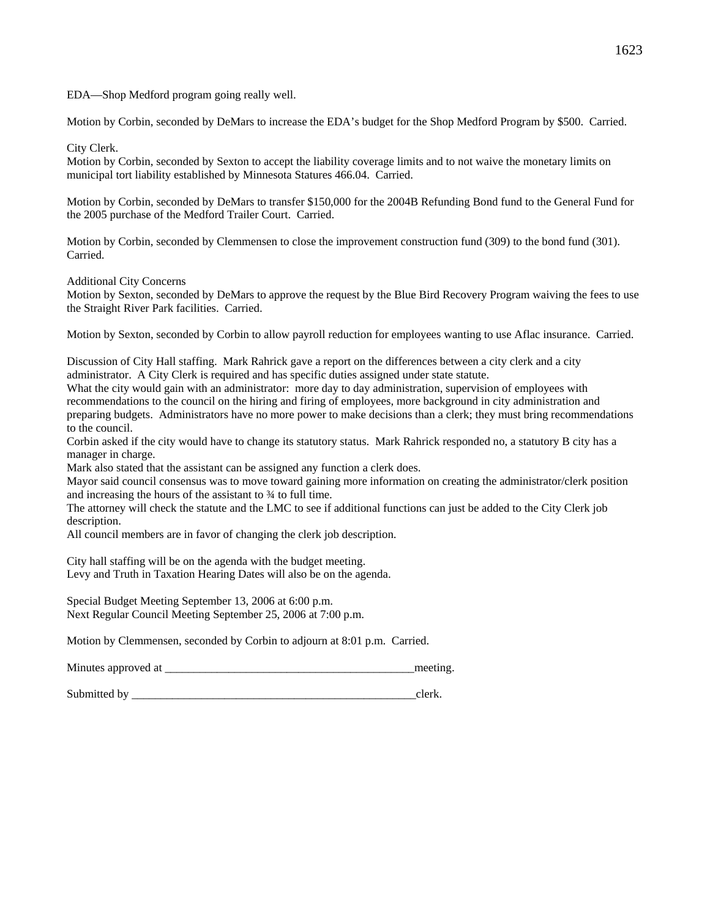EDA—Shop Medford program going really well.

Motion by Corbin, seconded by DeMars to increase the EDA's budget for the Shop Medford Program by \$500. Carried.

City Clerk.

Motion by Corbin, seconded by Sexton to accept the liability coverage limits and to not waive the monetary limits on municipal tort liability established by Minnesota Statures 466.04. Carried.

Motion by Corbin, seconded by DeMars to transfer \$150,000 for the 2004B Refunding Bond fund to the General Fund for the 2005 purchase of the Medford Trailer Court. Carried.

Motion by Corbin, seconded by Clemmensen to close the improvement construction fund (309) to the bond fund (301). Carried.

Additional City Concerns

Motion by Sexton, seconded by DeMars to approve the request by the Blue Bird Recovery Program waiving the fees to use the Straight River Park facilities. Carried.

Motion by Sexton, seconded by Corbin to allow payroll reduction for employees wanting to use Aflac insurance. Carried.

Discussion of City Hall staffing. Mark Rahrick gave a report on the differences between a city clerk and a city administrator. A City Clerk is required and has specific duties assigned under state statute.

What the city would gain with an administrator: more day to day administration, supervision of employees with recommendations to the council on the hiring and firing of employees, more background in city administration and preparing budgets. Administrators have no more power to make decisions than a clerk; they must bring recommendations to the council.

Corbin asked if the city would have to change its statutory status. Mark Rahrick responded no, a statutory B city has a manager in charge.

Mark also stated that the assistant can be assigned any function a clerk does.

Mayor said council consensus was to move toward gaining more information on creating the administrator/clerk position and increasing the hours of the assistant to ¾ to full time.

The attorney will check the statute and the LMC to see if additional functions can just be added to the City Clerk job description.

All council members are in favor of changing the clerk job description.

City hall staffing will be on the agenda with the budget meeting. Levy and Truth in Taxation Hearing Dates will also be on the agenda.

Special Budget Meeting September 13, 2006 at 6:00 p.m. Next Regular Council Meeting September 25, 2006 at 7:00 p.m.

Motion by Clemmensen, seconded by Corbin to adjourn at 8:01 p.m. Carried.

Minutes approved at \_\_\_\_\_\_\_\_\_\_\_\_\_\_\_\_\_\_\_\_\_\_\_\_\_\_\_\_\_\_\_\_\_\_\_\_\_\_\_\_\_\_\_meeting.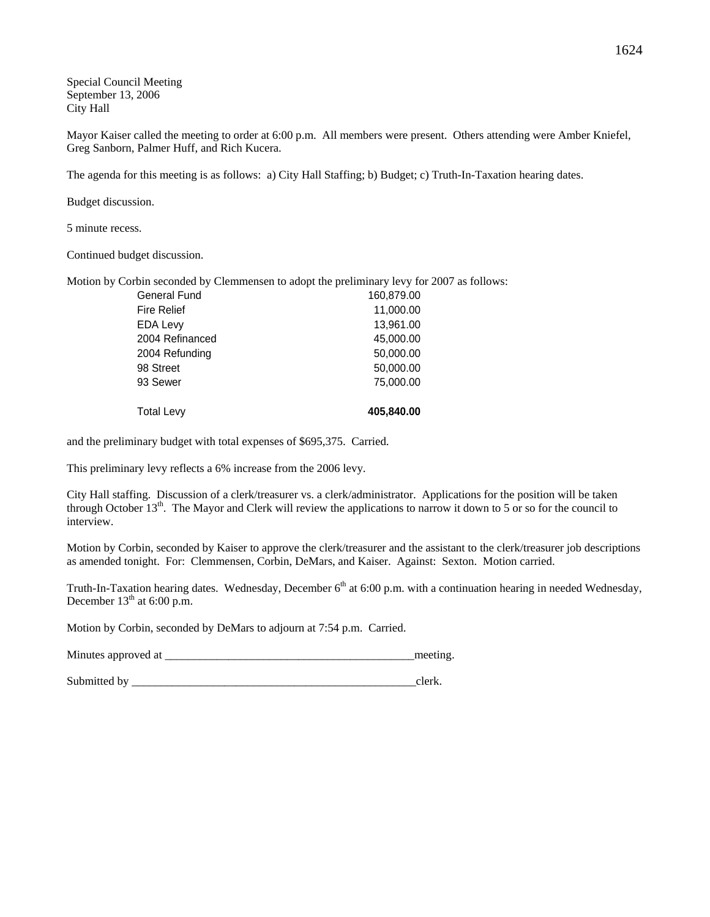Special Council Meeting September 13, 2006 City Hall

Mayor Kaiser called the meeting to order at 6:00 p.m. All members were present. Others attending were Amber Kniefel, Greg Sanborn, Palmer Huff, and Rich Kucera.

The agenda for this meeting is as follows: a) City Hall Staffing; b) Budget; c) Truth-In-Taxation hearing dates.

Budget discussion.

5 minute recess.

Continued budget discussion.

Motion by Corbin seconded by Clemmensen to adopt the preliminary levy for 2007 as follows:

| <b>Total Levy</b>  | 405,840.00 |
|--------------------|------------|
| 93 Sewer           | 75,000.00  |
| 98 Street          | 50,000.00  |
| 2004 Refunding     | 50,000.00  |
| 2004 Refinanced    | 45,000.00  |
| <b>EDA Levy</b>    | 13,961.00  |
| <b>Fire Relief</b> | 11,000.00  |
| General Fund       | 160,879.00 |

and the preliminary budget with total expenses of \$695,375. Carried.

This preliminary levy reflects a 6% increase from the 2006 levy.

City Hall staffing. Discussion of a clerk/treasurer vs. a clerk/administrator. Applications for the position will be taken through October  $13<sup>th</sup>$ . The Mayor and Clerk will review the applications to narrow it down to 5 or so for the council to interview.

Motion by Corbin, seconded by Kaiser to approve the clerk/treasurer and the assistant to the clerk/treasurer job descriptions as amended tonight. For: Clemmensen, Corbin, DeMars, and Kaiser. Against: Sexton. Motion carried.

Truth-In-Taxation hearing dates. Wednesday, December 6<sup>th</sup> at 6:00 p.m. with a continuation hearing in needed Wednesday, December  $13<sup>th</sup>$  at 6:00 p.m.

Motion by Corbin, seconded by DeMars to adjourn at 7:54 p.m. Carried.

Minutes approved at \_\_\_\_\_\_\_\_\_\_\_\_\_\_\_\_\_\_\_\_\_\_\_\_\_\_\_\_\_\_\_\_\_\_\_\_\_\_\_\_\_\_\_meeting.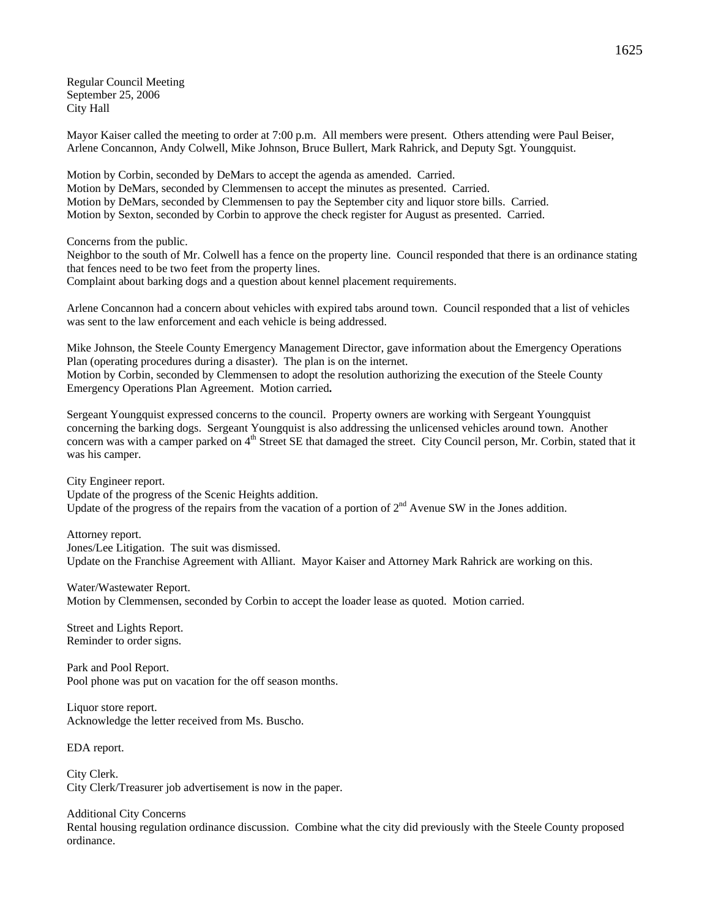Regular Council Meeting September 25, 2006 City Hall

Mayor Kaiser called the meeting to order at 7:00 p.m. All members were present. Others attending were Paul Beiser, Arlene Concannon, Andy Colwell, Mike Johnson, Bruce Bullert, Mark Rahrick, and Deputy Sgt. Youngquist.

Motion by Corbin, seconded by DeMars to accept the agenda as amended. Carried. Motion by DeMars, seconded by Clemmensen to accept the minutes as presented. Carried. Motion by DeMars, seconded by Clemmensen to pay the September city and liquor store bills. Carried. Motion by Sexton, seconded by Corbin to approve the check register for August as presented. Carried.

Concerns from the public.

Neighbor to the south of Mr. Colwell has a fence on the property line. Council responded that there is an ordinance stating that fences need to be two feet from the property lines.

Complaint about barking dogs and a question about kennel placement requirements.

Arlene Concannon had a concern about vehicles with expired tabs around town. Council responded that a list of vehicles was sent to the law enforcement and each vehicle is being addressed.

Mike Johnson, the Steele County Emergency Management Director, gave information about the Emergency Operations Plan (operating procedures during a disaster). The plan is on the internet. Motion by Corbin, seconded by Clemmensen to adopt the resolution authorizing the execution of the Steele County Emergency Operations Plan Agreement. Motion carried**.** 

Sergeant Youngquist expressed concerns to the council. Property owners are working with Sergeant Youngquist concerning the barking dogs. Sergeant Youngquist is also addressing the unlicensed vehicles around town. Another concern was with a camper parked on  $4<sup>th</sup>$  Street SE that damaged the street. City Council person, Mr. Corbin, stated that it was his camper.

City Engineer report.

Update of the progress of the Scenic Heights addition. Update of the progress of the repairs from the vacation of a portion of  $2<sup>nd</sup>$  Avenue SW in the Jones addition.

Attorney report. Jones/Lee Litigation. The suit was dismissed. Update on the Franchise Agreement with Alliant. Mayor Kaiser and Attorney Mark Rahrick are working on this.

Water/Wastewater Report. Motion by Clemmensen, seconded by Corbin to accept the loader lease as quoted. Motion carried.

Street and Lights Report. Reminder to order signs.

Park and Pool Report. Pool phone was put on vacation for the off season months.

Liquor store report. Acknowledge the letter received from Ms. Buscho.

EDA report.

City Clerk. City Clerk/Treasurer job advertisement is now in the paper.

Additional City Concerns

Rental housing regulation ordinance discussion. Combine what the city did previously with the Steele County proposed ordinance.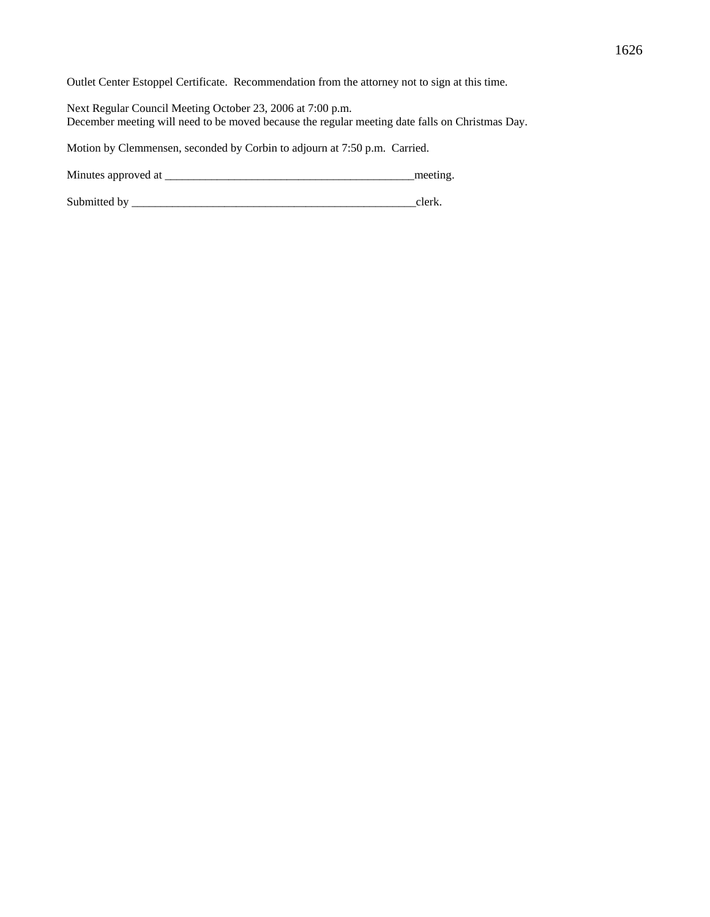Outlet Center Estoppel Certificate. Recommendation from the attorney not to sign at this time.

Next Regular Council Meeting October 23, 2006 at 7:00 p.m. December meeting will need to be moved because the regular meeting date falls on Christmas Day.

Motion by Clemmensen, seconded by Corbin to adjourn at 7:50 p.m. Carried.

Minutes approved at \_\_\_\_\_\_\_\_\_\_\_\_\_\_\_\_\_\_\_\_\_\_\_\_\_\_\_\_\_\_\_\_\_\_\_\_\_\_\_\_\_\_\_meeting.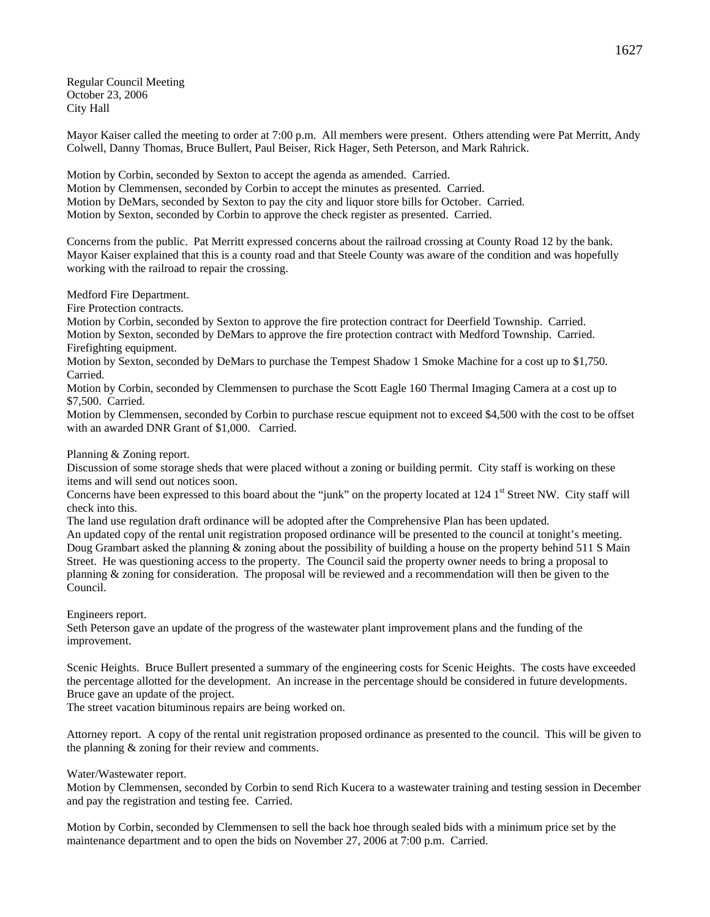Regular Council Meeting October 23, 2006 City Hall

Mayor Kaiser called the meeting to order at 7:00 p.m. All members were present. Others attending were Pat Merritt, Andy Colwell, Danny Thomas, Bruce Bullert, Paul Beiser, Rick Hager, Seth Peterson, and Mark Rahrick.

Motion by Corbin, seconded by Sexton to accept the agenda as amended. Carried. Motion by Clemmensen, seconded by Corbin to accept the minutes as presented. Carried. Motion by DeMars, seconded by Sexton to pay the city and liquor store bills for October. Carried. Motion by Sexton, seconded by Corbin to approve the check register as presented. Carried.

Concerns from the public. Pat Merritt expressed concerns about the railroad crossing at County Road 12 by the bank. Mayor Kaiser explained that this is a county road and that Steele County was aware of the condition and was hopefully working with the railroad to repair the crossing.

Medford Fire Department.

Fire Protection contracts.

Motion by Corbin, seconded by Sexton to approve the fire protection contract for Deerfield Township. Carried. Motion by Sexton, seconded by DeMars to approve the fire protection contract with Medford Township. Carried. Firefighting equipment.

Motion by Sexton, seconded by DeMars to purchase the Tempest Shadow 1 Smoke Machine for a cost up to \$1,750. Carried.

Motion by Corbin, seconded by Clemmensen to purchase the Scott Eagle 160 Thermal Imaging Camera at a cost up to \$7,500. Carried.

Motion by Clemmensen, seconded by Corbin to purchase rescue equipment not to exceed \$4,500 with the cost to be offset with an awarded DNR Grant of \$1,000. Carried.

Planning & Zoning report.

Discussion of some storage sheds that were placed without a zoning or building permit. City staff is working on these items and will send out notices soon.

Concerns have been expressed to this board about the "junk" on the property located at  $124$  1<sup>st</sup> Street NW. City staff will check into this.

The land use regulation draft ordinance will be adopted after the Comprehensive Plan has been updated.

An updated copy of the rental unit registration proposed ordinance will be presented to the council at tonight's meeting. Doug Grambart asked the planning & zoning about the possibility of building a house on the property behind 511 S Main Street. He was questioning access to the property. The Council said the property owner needs to bring a proposal to planning & zoning for consideration. The proposal will be reviewed and a recommendation will then be given to the Council.

Engineers report.

Seth Peterson gave an update of the progress of the wastewater plant improvement plans and the funding of the improvement.

Scenic Heights. Bruce Bullert presented a summary of the engineering costs for Scenic Heights. The costs have exceeded the percentage allotted for the development. An increase in the percentage should be considered in future developments. Bruce gave an update of the project.

The street vacation bituminous repairs are being worked on.

Attorney report. A copy of the rental unit registration proposed ordinance as presented to the council. This will be given to the planning & zoning for their review and comments.

Water/Wastewater report.

Motion by Clemmensen, seconded by Corbin to send Rich Kucera to a wastewater training and testing session in December and pay the registration and testing fee. Carried.

Motion by Corbin, seconded by Clemmensen to sell the back hoe through sealed bids with a minimum price set by the maintenance department and to open the bids on November 27, 2006 at 7:00 p.m. Carried.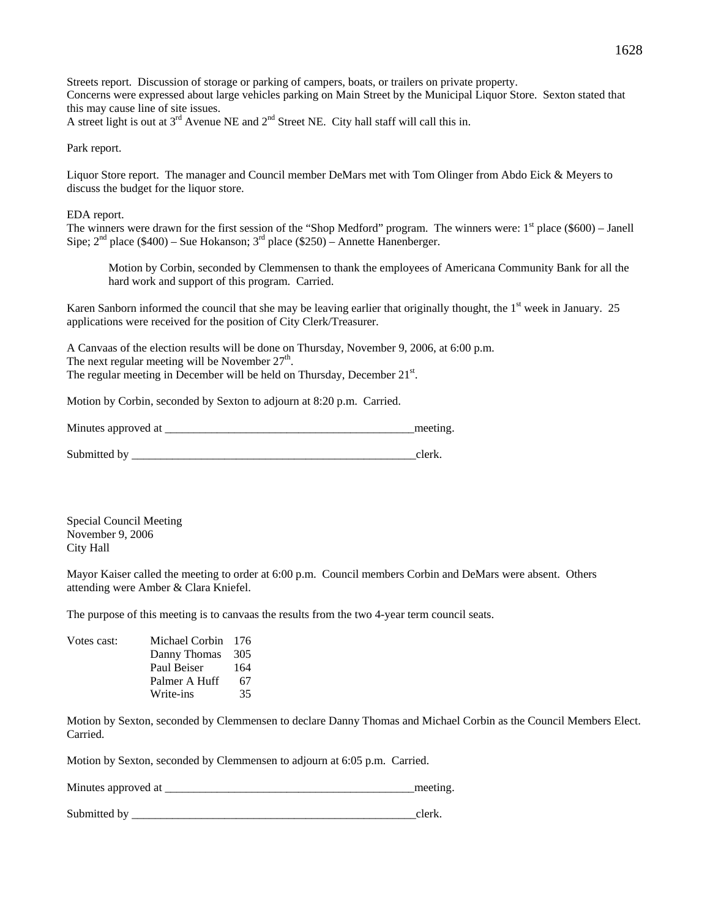Streets report. Discussion of storage or parking of campers, boats, or trailers on private property. Concerns were expressed about large vehicles parking on Main Street by the Municipal Liquor Store. Sexton stated that this may cause line of site issues.

A street light is out at  $3<sup>rd</sup>$  Avenue NE and  $2<sup>nd</sup>$  Street NE. City hall staff will call this in.

Park report.

Liquor Store report. The manager and Council member DeMars met with Tom Olinger from Abdo Eick & Meyers to discuss the budget for the liquor store.

EDA report.

The winners were drawn for the first session of the "Shop Medford" program. The winners were:  $1<sup>st</sup>$  place (\$600) – Janell Sipe;  $2<sup>nd</sup>$  place (\$400) – Sue Hokanson;  $3<sup>rd</sup>$  place (\$250) – Annette Hanenberger.

Motion by Corbin, seconded by Clemmensen to thank the employees of Americana Community Bank for all the hard work and support of this program. Carried.

Karen Sanborn informed the council that she may be leaving earlier that originally thought, the  $1<sup>st</sup>$  week in January. 25 applications were received for the position of City Clerk/Treasurer.

A Canvaas of the election results will be done on Thursday, November 9, 2006, at 6:00 p.m. The next regular meeting will be November  $27<sup>th</sup>$ . The regular meeting in December will be held on Thursday, December 21<sup>st</sup>.

Motion by Corbin, seconded by Sexton to adjourn at 8:20 p.m. Carried.

| Minutes approved at | meeting |
|---------------------|---------|
|                     |         |

Special Council Meeting November 9, 2006 City Hall

Mayor Kaiser called the meeting to order at 6:00 p.m. Council members Corbin and DeMars were absent. Others attending were Amber & Clara Kniefel.

The purpose of this meeting is to canvaas the results from the two 4-year term council seats.

| Votes cast: | Michael Corbin 176 |     |
|-------------|--------------------|-----|
|             | Danny Thomas       | 305 |
|             | Paul Beiser        | 164 |
|             | Palmer A Huff      | 67  |
|             | Write-ins          | 35  |

Motion by Sexton, seconded by Clemmensen to declare Danny Thomas and Michael Corbin as the Council Members Elect. Carried.

Motion by Sexton, seconded by Clemmensen to adjourn at 6:05 p.m. Carried.

Minutes approved at \_\_\_\_\_\_\_\_\_\_\_\_\_\_\_\_\_\_\_\_\_\_\_\_\_\_\_\_\_\_\_\_\_\_\_\_\_\_\_\_\_\_\_meeting.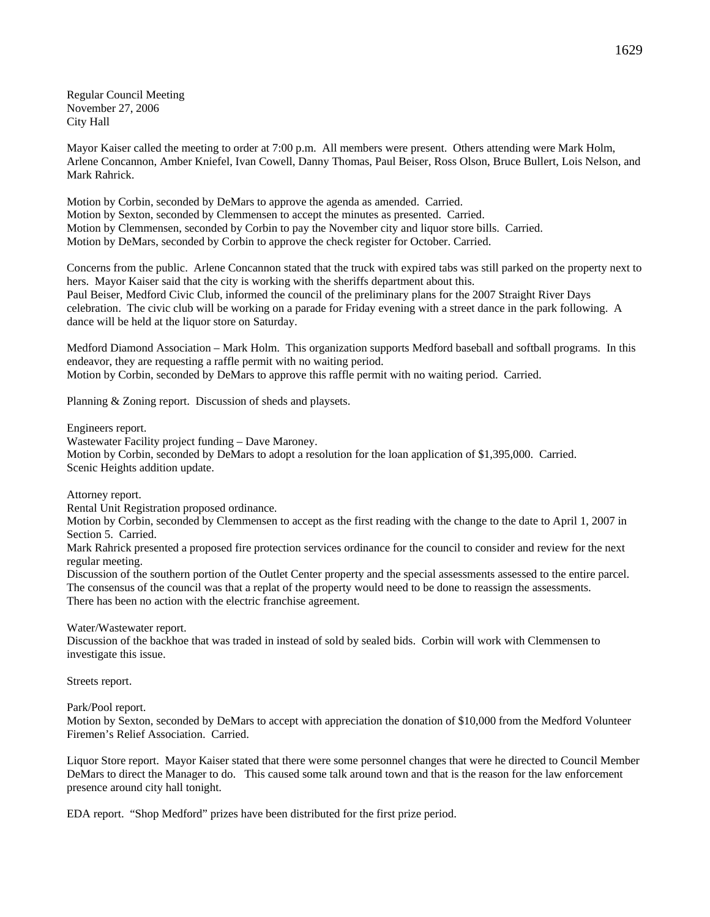Regular Council Meeting November 27, 2006 City Hall

Mayor Kaiser called the meeting to order at 7:00 p.m. All members were present. Others attending were Mark Holm, Arlene Concannon, Amber Kniefel, Ivan Cowell, Danny Thomas, Paul Beiser, Ross Olson, Bruce Bullert, Lois Nelson, and Mark Rahrick.

Motion by Corbin, seconded by DeMars to approve the agenda as amended. Carried. Motion by Sexton, seconded by Clemmensen to accept the minutes as presented. Carried. Motion by Clemmensen, seconded by Corbin to pay the November city and liquor store bills. Carried. Motion by DeMars, seconded by Corbin to approve the check register for October. Carried.

Concerns from the public. Arlene Concannon stated that the truck with expired tabs was still parked on the property next to hers. Mayor Kaiser said that the city is working with the sheriffs department about this. Paul Beiser, Medford Civic Club, informed the council of the preliminary plans for the 2007 Straight River Days celebration. The civic club will be working on a parade for Friday evening with a street dance in the park following. A dance will be held at the liquor store on Saturday.

Medford Diamond Association – Mark Holm. This organization supports Medford baseball and softball programs. In this endeavor, they are requesting a raffle permit with no waiting period. Motion by Corbin, seconded by DeMars to approve this raffle permit with no waiting period. Carried.

Planning & Zoning report. Discussion of sheds and playsets.

Engineers report.

Wastewater Facility project funding – Dave Maroney.

Motion by Corbin, seconded by DeMars to adopt a resolution for the loan application of \$1,395,000. Carried. Scenic Heights addition update.

Attorney report.

Rental Unit Registration proposed ordinance.

Motion by Corbin, seconded by Clemmensen to accept as the first reading with the change to the date to April 1, 2007 in Section 5. Carried.

Mark Rahrick presented a proposed fire protection services ordinance for the council to consider and review for the next regular meeting.

Discussion of the southern portion of the Outlet Center property and the special assessments assessed to the entire parcel. The consensus of the council was that a replat of the property would need to be done to reassign the assessments. There has been no action with the electric franchise agreement.

Water/Wastewater report.

Discussion of the backhoe that was traded in instead of sold by sealed bids. Corbin will work with Clemmensen to investigate this issue.

Streets report.

Park/Pool report.

Motion by Sexton, seconded by DeMars to accept with appreciation the donation of \$10,000 from the Medford Volunteer Firemen's Relief Association. Carried.

Liquor Store report. Mayor Kaiser stated that there were some personnel changes that were he directed to Council Member DeMars to direct the Manager to do. This caused some talk around town and that is the reason for the law enforcement presence around city hall tonight.

EDA report. "Shop Medford" prizes have been distributed for the first prize period.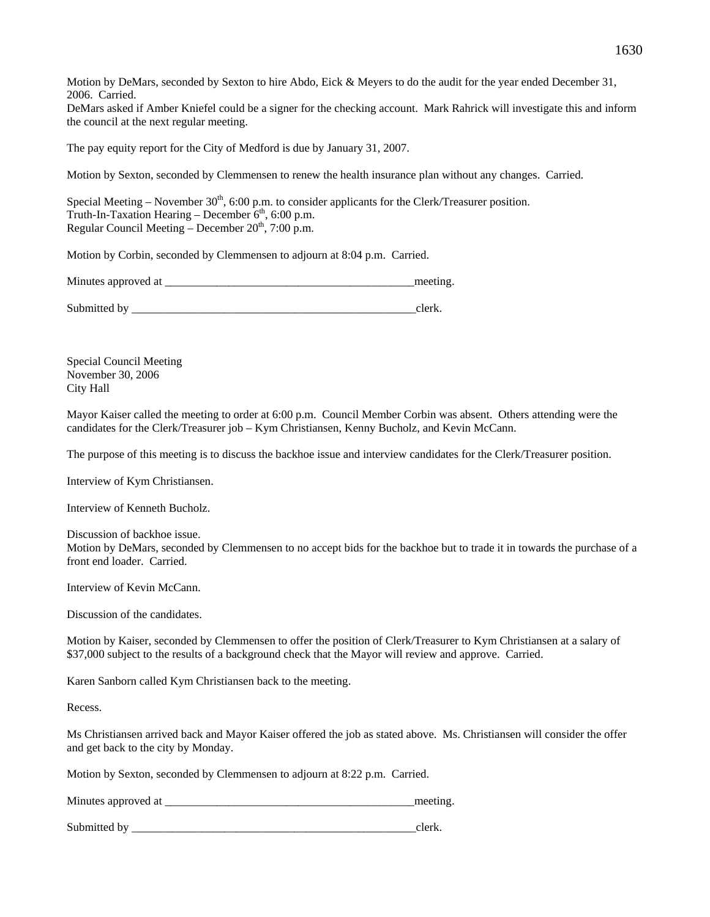Motion by DeMars, seconded by Sexton to hire Abdo, Eick & Meyers to do the audit for the year ended December 31, 2006. Carried.

DeMars asked if Amber Kniefel could be a signer for the checking account. Mark Rahrick will investigate this and inform the council at the next regular meeting.

The pay equity report for the City of Medford is due by January 31, 2007.

Motion by Sexton, seconded by Clemmensen to renew the health insurance plan without any changes. Carried.

Special Meeting – November  $30<sup>th</sup>$ , 6:00 p.m. to consider applicants for the Clerk/Treasurer position. Truth-In-Taxation Hearing – December  $6<sup>th</sup>$ , 6:00 p.m. Regular Council Meeting – December  $20<sup>th</sup>$ , 7:00 p.m.

Motion by Corbin, seconded by Clemmensen to adjourn at 8:04 p.m. Carried.

Minutes approved at \_\_\_\_\_\_\_\_\_\_\_\_\_\_\_\_\_\_\_\_\_\_\_\_\_\_\_\_\_\_\_\_\_\_\_\_\_\_\_\_\_\_\_meeting.

Submitted by  $\Box$ 

Special Council Meeting November 30, 2006 City Hall

Mayor Kaiser called the meeting to order at 6:00 p.m. Council Member Corbin was absent. Others attending were the candidates for the Clerk/Treasurer job – Kym Christiansen, Kenny Bucholz, and Kevin McCann.

The purpose of this meeting is to discuss the backhoe issue and interview candidates for the Clerk/Treasurer position.

Interview of Kym Christiansen.

Interview of Kenneth Bucholz.

Discussion of backhoe issue. Motion by DeMars, seconded by Clemmensen to no accept bids for the backhoe but to trade it in towards the purchase of a front end loader. Carried.

Interview of Kevin McCann.

Discussion of the candidates.

Motion by Kaiser, seconded by Clemmensen to offer the position of Clerk/Treasurer to Kym Christiansen at a salary of \$37,000 subject to the results of a background check that the Mayor will review and approve. Carried.

Karen Sanborn called Kym Christiansen back to the meeting.

Recess.

Ms Christiansen arrived back and Mayor Kaiser offered the job as stated above. Ms. Christiansen will consider the offer and get back to the city by Monday.

Motion by Sexton, seconded by Clemmensen to adjourn at 8:22 p.m. Carried.

Minutes approved at \_\_\_\_\_\_\_\_\_\_\_\_\_\_\_\_\_\_\_\_\_\_\_\_\_\_\_\_\_\_\_\_\_\_\_\_\_\_\_\_\_\_\_meeting.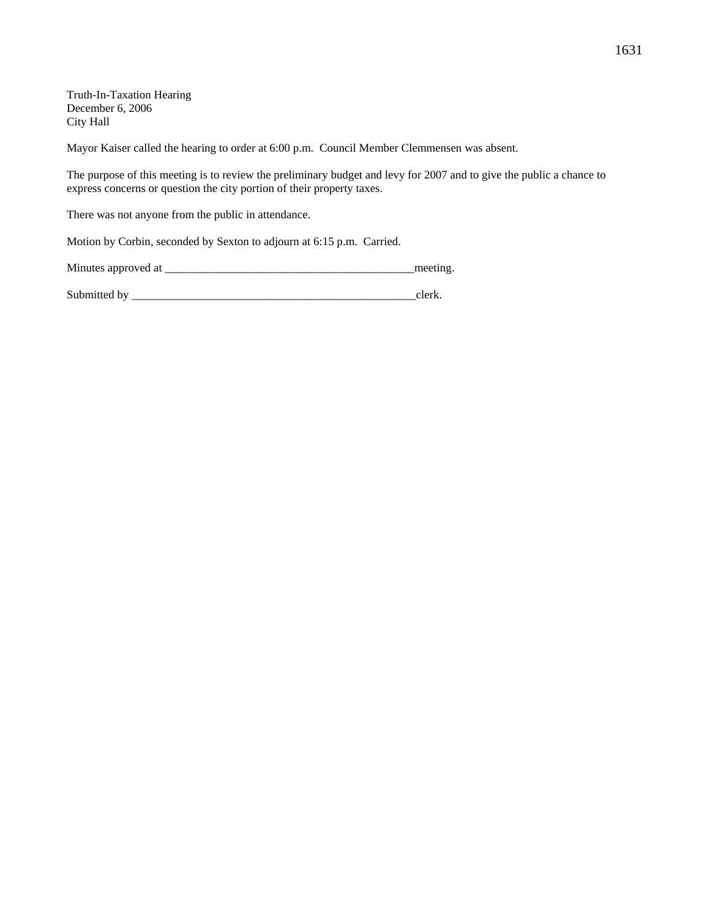Truth-In-Taxation Hearing December 6, 2006 City Hall

Mayor Kaiser called the hearing to order at 6:00 p.m. Council Member Clemmensen was absent.

The purpose of this meeting is to review the preliminary budget and levy for 2007 and to give the public a chance to express concerns or question the city portion of their property taxes.

There was not anyone from the public in attendance.

Motion by Corbin, seconded by Sexton to adjourn at 6:15 p.m. Carried.

Minutes approved at \_\_\_\_\_\_\_\_\_\_\_\_\_\_\_\_\_\_\_\_\_\_\_\_\_\_\_\_\_\_\_\_\_\_\_\_\_\_\_\_\_\_\_meeting.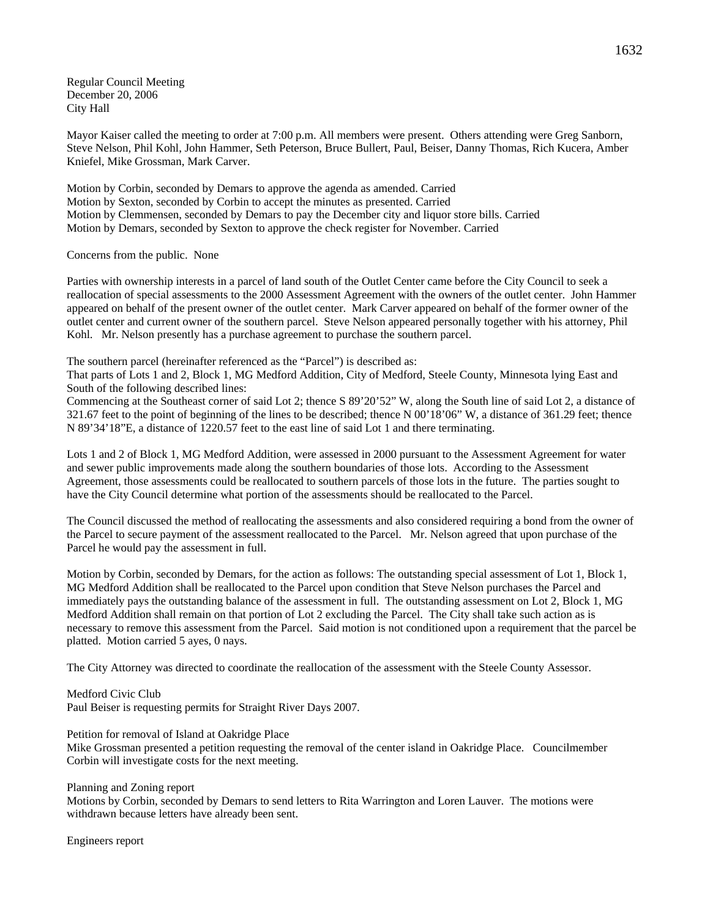Regular Council Meeting December 20, 2006 City Hall

Mayor Kaiser called the meeting to order at 7:00 p.m. All members were present. Others attending were Greg Sanborn, Steve Nelson, Phil Kohl, John Hammer, Seth Peterson, Bruce Bullert, Paul, Beiser, Danny Thomas, Rich Kucera, Amber Kniefel, Mike Grossman, Mark Carver.

Motion by Corbin, seconded by Demars to approve the agenda as amended. Carried Motion by Sexton, seconded by Corbin to accept the minutes as presented. Carried Motion by Clemmensen, seconded by Demars to pay the December city and liquor store bills. Carried Motion by Demars, seconded by Sexton to approve the check register for November. Carried

## Concerns from the public. None

Parties with ownership interests in a parcel of land south of the Outlet Center came before the City Council to seek a reallocation of special assessments to the 2000 Assessment Agreement with the owners of the outlet center. John Hammer appeared on behalf of the present owner of the outlet center. Mark Carver appeared on behalf of the former owner of the outlet center and current owner of the southern parcel. Steve Nelson appeared personally together with his attorney, Phil Kohl. Mr. Nelson presently has a purchase agreement to purchase the southern parcel.

The southern parcel (hereinafter referenced as the "Parcel") is described as:

That parts of Lots 1 and 2, Block 1, MG Medford Addition, City of Medford, Steele County, Minnesota lying East and South of the following described lines:

Commencing at the Southeast corner of said Lot 2; thence S 89'20'52" W, along the South line of said Lot 2, a distance of 321.67 feet to the point of beginning of the lines to be described; thence N 00'18'06" W, a distance of 361.29 feet; thence N 89'34'18"E, a distance of 1220.57 feet to the east line of said Lot 1 and there terminating.

Lots 1 and 2 of Block 1, MG Medford Addition, were assessed in 2000 pursuant to the Assessment Agreement for water and sewer public improvements made along the southern boundaries of those lots. According to the Assessment Agreement, those assessments could be reallocated to southern parcels of those lots in the future. The parties sought to have the City Council determine what portion of the assessments should be reallocated to the Parcel.

The Council discussed the method of reallocating the assessments and also considered requiring a bond from the owner of the Parcel to secure payment of the assessment reallocated to the Parcel. Mr. Nelson agreed that upon purchase of the Parcel he would pay the assessment in full.

Motion by Corbin, seconded by Demars, for the action as follows: The outstanding special assessment of Lot 1, Block 1, MG Medford Addition shall be reallocated to the Parcel upon condition that Steve Nelson purchases the Parcel and immediately pays the outstanding balance of the assessment in full. The outstanding assessment on Lot 2, Block 1, MG Medford Addition shall remain on that portion of Lot 2 excluding the Parcel. The City shall take such action as is necessary to remove this assessment from the Parcel. Said motion is not conditioned upon a requirement that the parcel be platted. Motion carried 5 ayes, 0 nays.

The City Attorney was directed to coordinate the reallocation of the assessment with the Steele County Assessor.

Medford Civic Club Paul Beiser is requesting permits for Straight River Days 2007.

Petition for removal of Island at Oakridge Place

Mike Grossman presented a petition requesting the removal of the center island in Oakridge Place. Councilmember Corbin will investigate costs for the next meeting.

Planning and Zoning report

Motions by Corbin, seconded by Demars to send letters to Rita Warrington and Loren Lauver. The motions were withdrawn because letters have already been sent.

Engineers report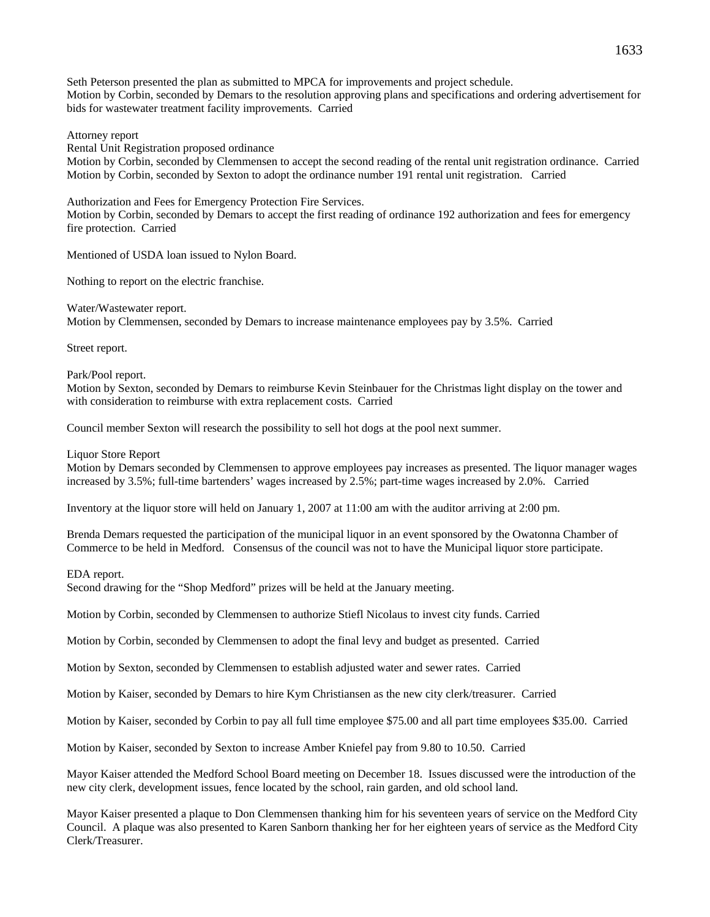Seth Peterson presented the plan as submitted to MPCA for improvements and project schedule. Motion by Corbin, seconded by Demars to the resolution approving plans and specifications and ordering advertisement for bids for wastewater treatment facility improvements. Carried

Attorney report

Rental Unit Registration proposed ordinance

Motion by Corbin, seconded by Clemmensen to accept the second reading of the rental unit registration ordinance. Carried Motion by Corbin, seconded by Sexton to adopt the ordinance number 191 rental unit registration. Carried

Authorization and Fees for Emergency Protection Fire Services. Motion by Corbin, seconded by Demars to accept the first reading of ordinance 192 authorization and fees for emergency fire protection. Carried

Mentioned of USDA loan issued to Nylon Board.

Nothing to report on the electric franchise.

Water/Wastewater report.

Motion by Clemmensen, seconded by Demars to increase maintenance employees pay by 3.5%. Carried

Street report.

Park/Pool report.

Motion by Sexton, seconded by Demars to reimburse Kevin Steinbauer for the Christmas light display on the tower and with consideration to reimburse with extra replacement costs. Carried

Council member Sexton will research the possibility to sell hot dogs at the pool next summer.

Liquor Store Report

Motion by Demars seconded by Clemmensen to approve employees pay increases as presented. The liquor manager wages increased by 3.5%; full-time bartenders' wages increased by 2.5%; part-time wages increased by 2.0%. Carried

Inventory at the liquor store will held on January 1, 2007 at 11:00 am with the auditor arriving at 2:00 pm.

Brenda Demars requested the participation of the municipal liquor in an event sponsored by the Owatonna Chamber of Commerce to be held in Medford. Consensus of the council was not to have the Municipal liquor store participate.

EDA report.

Second drawing for the "Shop Medford" prizes will be held at the January meeting.

Motion by Corbin, seconded by Clemmensen to authorize Stiefl Nicolaus to invest city funds. Carried

Motion by Corbin, seconded by Clemmensen to adopt the final levy and budget as presented. Carried

Motion by Sexton, seconded by Clemmensen to establish adjusted water and sewer rates. Carried

Motion by Kaiser, seconded by Demars to hire Kym Christiansen as the new city clerk/treasurer. Carried

Motion by Kaiser, seconded by Corbin to pay all full time employee \$75.00 and all part time employees \$35.00. Carried

Motion by Kaiser, seconded by Sexton to increase Amber Kniefel pay from 9.80 to 10.50. Carried

Mayor Kaiser attended the Medford School Board meeting on December 18. Issues discussed were the introduction of the new city clerk, development issues, fence located by the school, rain garden, and old school land.

Mayor Kaiser presented a plaque to Don Clemmensen thanking him for his seventeen years of service on the Medford City Council. A plaque was also presented to Karen Sanborn thanking her for her eighteen years of service as the Medford City Clerk/Treasurer.